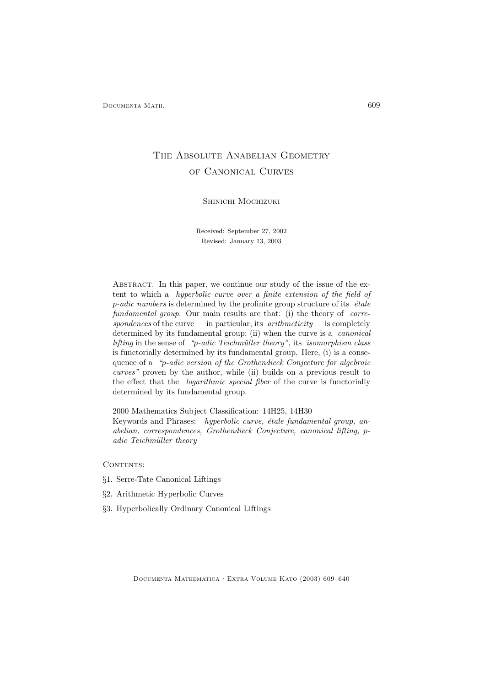# THE ABSOLUTE ANABELIAN GEOMETRY of Canonical Curves

Shinichi Mochizuki

Received: September 27, 2002 Revised: January 13, 2003

Abstract. In this paper, we continue our study of the issue of the extent to which a hyperbolic curve over a finite extension of the field of  $p\text{-}adic numbers$  is determined by the profinite group structure of its  $\text{ }\'etale$ fundamental group. Our main results are that: (i) the theory of correspondences of the curve — in particular, its  $arithmeticity$  — is completely determined by its fundamental group; (ii) when the curve is a *canonical* lifting in the sense of "p-adic Teichmüller theory", its isomorphism class is functorially determined by its fundamental group. Here, (i) is a consequence of a "p-adic version of the Grothendieck Conjecture for algebraic curves" proven by the author, while (ii) builds on a previous result to the effect that the logarithmic special fiber of the curve is functorially determined by its fundamental group.

2000 Mathematics Subject Classification: 14H25, 14H30

Keywords and Phrases: hyperbolic curve, étale fundamental group, anabelian, correspondences, Grothendieck Conjecture, canonical lifting, padic Teichmüller theory

CONTENTS:

- §1. Serre-Tate Canonical Liftings
- §2. Arithmetic Hyperbolic Curves
- §3. Hyperbolically Ordinary Canonical Liftings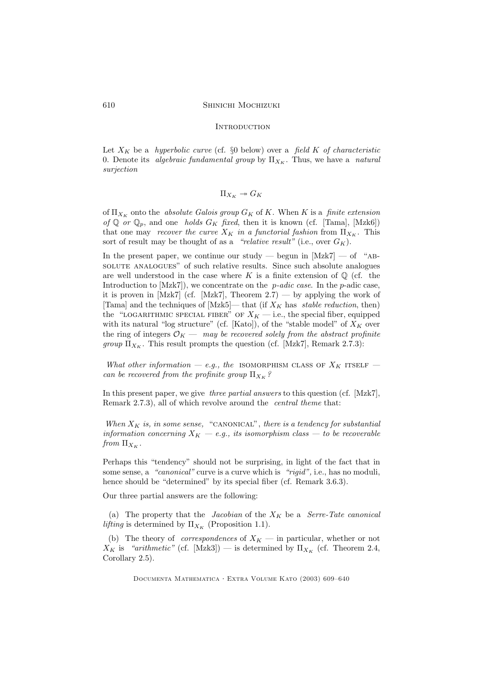#### **INTRODUCTION**

Let  $X_K$  be a *hyperbolic curve* (cf. §0 below) over a *field* K of *characteristic* 0. Denote its *algebraic fundamental group* by  $\Pi_{X_K}$ . Thus, we have a *natural* surjection

$$
\Pi_{X_K} \twoheadrightarrow G_K
$$

of  $\Pi_{X_K}$  onto the *absolute Galois group G<sub>K</sub>* of K. When K is a *finite extension* of Q or  $\mathbb{Q}_p$ , and one *holds*  $G_K$  fixed, then it is known (cf. [Tama], [Mzk6]) that one may recover the curve  $X_K$  in a functorial fashion from  $\Pi_{X_K}$ . This sort of result may be thought of as a "relative result" (i.e., over  $G_K$ ).

In the present paper, we continue our study — begun in  $[Mzk7]$  — of "ABsolute analogues" of such relative results. Since such absolute analogues are well understood in the case where K is a finite extension of  $\mathbb Q$  (cf. the Introduction to  $[Mz\&7]$ , we concentrate on the *p-adic case*. In the *p*-adic case, it is proven in [Mzk7] (cf. [Mzk7], Theorem  $2.7$ ) — by applying the work of [Tama] and the techniques of [Mzk5]— that (if  $X_K$  has stable reduction, then) the "LOGARITHMIC SPECIAL FIBER" OF  $X_K$  — i.e., the special fiber, equipped with its natural "log structure" (cf. [Kato]), of the "stable model" of  $X_K$  over the ring of integers  $\mathcal{O}_K$  — may be recovered solely from the abstract profinite *group*  $\Pi_{X_K}$ . This result prompts the question (cf. [Mzk7], Remark 2.7.3):

What other information – e.g., the ISOMORPHISM CLASS OF  $X_K$  ITSELF – can be recovered from the profinite group  $\Pi_{X_K}$ ?

In this present paper, we give three partial answers to this question (cf. [Mzk7], Remark 2.7.3), all of which revolve around the *central theme* that:

When  $X_K$  is, in some sense, "CANONICAL", there is a tendency for substantial information concerning  $X_K - e.g.,$  its isomorphism class  $-$  to be recoverable from  $\Pi_{X_K}$ .

Perhaps this "tendency" should not be surprising, in light of the fact that in some sense, a "canonical" curve is a curve which is "rigid", i.e., has no moduli, hence should be "determined" by its special fiber (cf. Remark 3.6.3).

Our three partial answers are the following:

(a) The property that the *Jacobian* of the  $X_K$  be a *Serre-Tate canonical lifting* is determined by  $\Pi_{X_K}$  (Proposition 1.1).

(b) The theory of *correspondences* of  $X_K$  — in particular, whether or not  $X_K$  is "arithmetic" (cf. [Mzk3]) — is determined by  $\Pi_{X_K}$  (cf. Theorem 2.4, Corollary 2.5).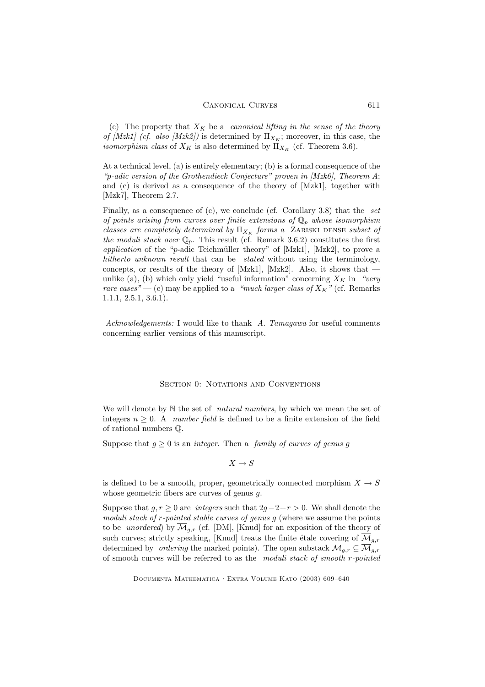#### CANONICAL CURVES 611

(c) The property that  $X_K$  be a *canonical lifting in the sense of the theory* of [Mzk1] (cf. also [Mzk2]) is determined by  $\Pi_{X_K}$ ; moreover, in this case, the *isomorphism class* of  $X_K$  is also determined by  $\Pi_{X_K}$  (cf. Theorem 3.6).

At a technical level, (a) is entirely elementary; (b) is a formal consequence of the "p-adic version of the Grothendieck Conjecture" proven in  $(Mzk6)$ , Theorem A; and (c) is derived as a consequence of the theory of [Mzk1], together with [Mzk7], Theorem 2.7.

Finally, as a consequence of (c), we conclude (cf. Corollary 3.8) that the set of points arising from curves over finite extensions of  $\mathbb{Q}_p$  whose isomorphism classes are completely determined by  $\Pi_{X_K}$  forms a ZARISKI DENSE subset of the moduli stack over  $\mathbb{Q}_p$ . This result (cf. Remark 3.6.2) constitutes the first application of the "p-adic Teichmüller theory" of  $[Mzk1]$ ,  $[Mzk2]$ , to prove a hitherto unknown result that can be stated without using the terminology, concepts, or results of the theory of [Mzk1], [Mzk2]. Also, it shows that  $$ unlike (a), (b) which only yield "useful information" concerning  $X_K$  in "very rare cases" — (c) may be applied to a "much larger class of  $X_K$ " (cf. Remarks 1.1.1, 2.5.1, 3.6.1).

Acknowledgements: I would like to thank A. Tamagawa for useful comments concerning earlier versions of this manuscript.

#### SECTION 0: NOTATIONS AND CONVENTIONS

We will denote by  $N$  the set of *natural numbers*, by which we mean the set of integers  $n \geq 0$ . A *number field* is defined to be a finite extension of the field of rational numbers Q.

Suppose that  $g \geq 0$  is an *integer*. Then a *family of curves of genus g* 

 $X \rightarrow S$ 

is defined to be a smooth, proper, geometrically connected morphism  $X \to S$ whose geometric fibers are curves of genus q.

Suppose that  $g, r \geq 0$  are *integers* such that  $2g-2+r > 0$ . We shall denote the moduli stack of  $r$ -pointed stable curves of genus  $g$  (where we assume the points to be *unordered*) by  $\overline{\mathcal{M}}_{q,r}$  (cf. [DM], [Knud] for an exposition of the theory of such curves; strictly speaking, [Knud] treats the finite étale covering of  $\overline{\mathcal{M}}_{g,r}$ determined by *ordering* the marked points). The open substack  $\mathcal{M}_{g,r} \subseteq \overline{\mathcal{M}}_{g,r}$ of smooth curves will be referred to as the moduli stack of smooth r-pointed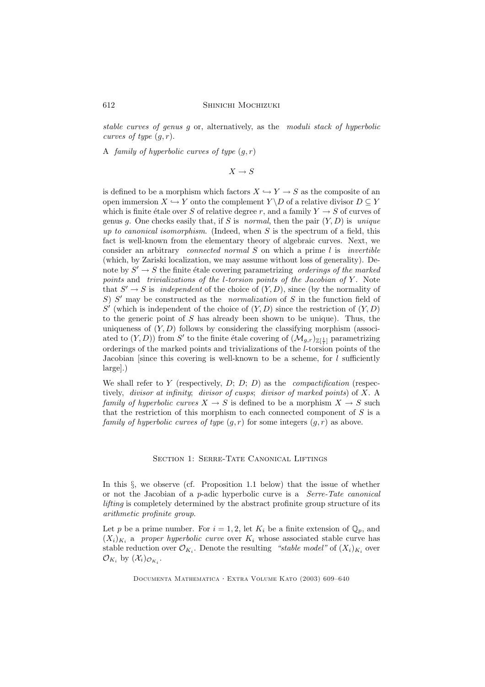stable curves of genus g or, alternatively, as the moduli stack of hyperbolic curves of type  $(q, r)$ .

A family of hyperbolic curves of type  $(q, r)$ 

 $X \to S$ 

is defined to be a morphism which factors  $X \hookrightarrow Y \longrightarrow S$  as the composite of an open immersion  $X \hookrightarrow Y$  onto the complement  $Y \backslash D$  of a relative divisor  $D \subseteq Y$ which is finite étale over S of relative degree r, and a family  $Y \to S$  of curves of genus g. One checks easily that, if S is normal, then the pair  $(Y, D)$  is unique up to canonical isomorphism. (Indeed, when  $S$  is the spectrum of a field, this fact is well-known from the elementary theory of algebraic curves. Next, we consider an arbitrary *connected normal*  $S$  on which a prime  $l$  is *invertible* (which, by Zariski localization, we may assume without loss of generality). Denote by  $S' \to S$  the finite étale covering parametrizing *orderings of the marked* points and trivializations of the *l*-torsion points of the Jacobian of Y. Note that  $S' \to S$  is *independent* of the choice of  $(Y, D)$ , since (by the normality of  $S$ ) S' may be constructed as the *normalization* of S in the function field of  $S'$  (which is independent of the choice of  $(Y, D)$  since the restriction of  $(Y, D)$ to the generic point of  $S$  has already been shown to be unique). Thus, the uniqueness of  $(Y, D)$  follows by considering the classifying morphism (associated to  $(Y, D)$ ) from S' to the finite étale covering of  $(\mathcal{M}_{g,r})_{\mathbb{Z}[\frac{1}{l}]}$  parametrizing orderings of the marked points and trivializations of the l-torsion points of the Jacobian [since this covering is well-known to be a scheme, for  $l$  sufficiently large].)

We shall refer to Y (respectively,  $D$ ;  $D$ ;  $D$ ) as the *compactification* (respectively, divisor at infinity; divisor of cusps; divisor of marked points) of X. A family of hyperbolic curves  $X \to S$  is defined to be a morphism  $X \to S$  such that the restriction of this morphism to each connected component of S is a family of hyperbolic curves of type  $(g, r)$  for some integers  $(g, r)$  as above.

# SECTION 1: SERRE-TATE CANONICAL LIFTINGS

In this  $\S$ , we observe (cf. Proposition 1.1 below) that the issue of whether or not the Jacobian of a p-adic hyperbolic curve is a Serre-Tate canonical lifting is completely determined by the abstract profinite group structure of its arithmetic profinite group.

Let p be a prime number. For  $i = 1, 2$ , let  $K_i$  be a finite extension of  $\mathbb{Q}_p$ , and  $(X_i)_{K_i}$  a proper hyperbolic curve over  $K_i$  whose associated stable curve has stable reduction over  $\mathcal{O}_{K_i}$ . Denote the resulting "stable model" of  $(X_i)_{K_i}$  over  $\mathcal{O}_{K_i}$  by  $(\mathcal{X}_i)_{\mathcal{O}_{K_i}}$ .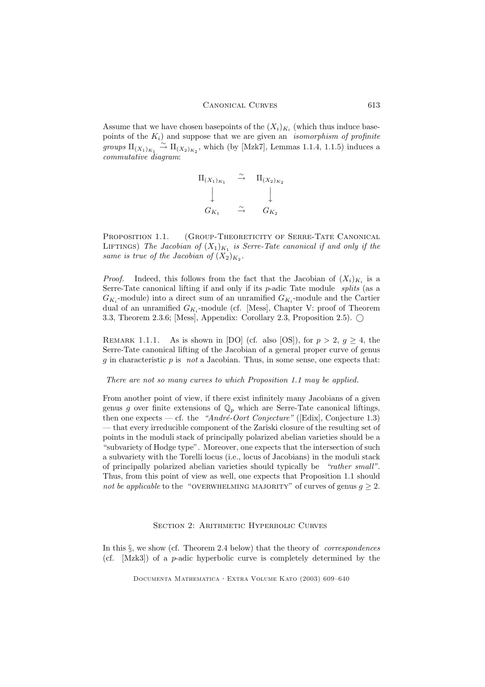Assume that we have chosen basepoints of the  $(X_i)_{K_i}$  (which thus induce basepoints of the  $K_i$ ) and suppose that we are given an *isomorphism of profinite* groups  $\Pi_{(X_1)_{K_1}} \stackrel{\sim}{\rightarrow} \Pi_{(X_2)_{K_2}}$ , which (by [Mzk7], Lemmas 1.1.4, 1.1.5) induces a commutative diagram:

$$
\begin{array}{ccc}\n\Pi_{(X_1)_{K_1}} & \stackrel{\sim}{\rightarrow} & \Pi_{(X_2)_{K_2}} \\
\downarrow & & \downarrow \\
G_{K_1} & \stackrel{\sim}{\rightarrow} & G_{K_2}\n\end{array}
$$

PROPOSITION 1.1. (GROUP-THEORETICITY OF SERRE-TATE CANONICAL LIFTINGS) The Jacobian of  $(X_1)_{K_1}$  is Serre-Tate canonical if and only if the same is true of the Jacobian of  $(X_2)_{K_2}$ .

*Proof.* Indeed, this follows from the fact that the Jacobian of  $(X_i)_{K_i}$  is a Serre-Tate canonical lifting if and only if its  $p$ -adic Tate module *splits* (as a  $G_{K_i}$ -module) into a direct sum of an unramified  $G_{K_i}$ -module and the Cartier dual of an unramified  $G_{K_i}$ -module (cf. [Mess], Chapter V: proof of Theorem 3.3, Theorem 2.3.6; [Mess], Appendix: Corollary 2.3, Proposition 2.5).  $\bigcirc$ 

REMARK 1.1.1. As is shown in [DO] (cf. also [OS]), for  $p > 2$ ,  $q \ge 4$ , the Serre-Tate canonical lifting of the Jacobian of a general proper curve of genus q in characteristic p is not a Jacobian. Thus, in some sense, one expects that:

# There are not so many curves to which Proposition 1.1 may be applied.

From another point of view, if there exist infinitely many Jacobians of a given genus g over finite extensions of  $\mathbb{Q}_p$  which are Serre-Tate canonical liftings, then one expects — cf. the "André-Oort Conjecture" ([Edix], Conjecture 1.3) — that every irreducible component of the Zariski closure of the resulting set of points in the moduli stack of principally polarized abelian varieties should be a "subvariety of Hodge type". Moreover, one expects that the intersection of such a subvariety with the Torelli locus (i.e., locus of Jacobians) in the moduli stack of principally polarized abelian varieties should typically be "rather small". Thus, from this point of view as well, one expects that Proposition 1.1 should not be applicable to the "OVERWHELMING MAJORITY" of curves of genus  $g \geq 2$ .

#### SECTION 2: ARITHMETIC HYPERBOLIC CURVES

In this  $\S$ , we show (cf. Theorem 2.4 below) that the theory of *correspondences* (cf.  $[Mzk3]$ ) of a *p*-adic hyperbolic curve is completely determined by the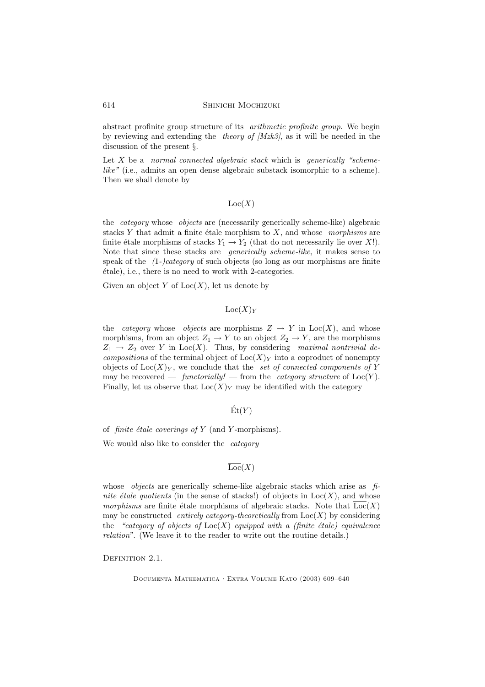abstract profinite group structure of its arithmetic profinite group. We begin by reviewing and extending the *theory of*  $[Mzk3]$ , as it will be needed in the discussion of the present §.

Let  $X$  be a normal connected algebraic stack which is generically "schemelike" (i.e., admits an open dense algebraic substack isomorphic to a scheme). Then we shall denote by

# $Loc(X)$

the category whose objects are (necessarily generically scheme-like) algebraic stacks  $Y$  that admit a finite étale morphism to  $X$ , and whose morphisms are finite étale morphisms of stacks  $Y_1 \rightarrow Y_2$  (that do not necessarily lie over X!). Note that since these stacks are generically scheme-like, it makes sense to speak of the (1-)category of such objects (so long as our morphisms are finite ´etale), i.e., there is no need to work with 2-categories.

Given an object Y of  $Loc(X)$ , let us denote by

# $Loc(X)<sub>V</sub>$

the *category* whose *objects* are morphisms  $Z \to Y$  in  $Loc(X)$ , and whose morphisms, from an object  $Z_1 \to Y$  to an object  $Z_2 \to Y$ , are the morphisms  $Z_1 \rightarrow Z_2$  over Y in Loc(X). Thus, by considering maximal nontrivial de*compositions* of the terminal object of  $Loc(X)<sub>Y</sub>$  into a coproduct of nonempty objects of  $Loc(X)<sub>Y</sub>$ , we conclude that the set of connected components of Y may be recovered — functorially! — from the category structure of  $Loc(Y)$ . Finally, let us observe that  $Loc(X)<sub>Y</sub>$  may be identified with the category

# $\mathrm{\acute{E}t}(Y)$

of finite étale coverings of  $Y$  (and  $Y$ -morphisms).

We would also like to consider the *category* 

# $\overline{\text{Loc}}(X)$

whose *objects* are generically scheme-like algebraic stacks which arise as  $f_i$ nite *étale quotients* (in the sense of stacks!) of objects in  $Loc(X)$ , and whose *morphisms* are finite étale morphisms of algebraic stacks. Note that  $\overline{\text{Loc}}(X)$ may be constructed *entirely category-theoretically* from  $Loc(X)$  by considering the "category of objects of  $Loc(X)$  equipped with a (finite étale) equivalence relation". (We leave it to the reader to write out the routine details.)

DEFINITION 2.1.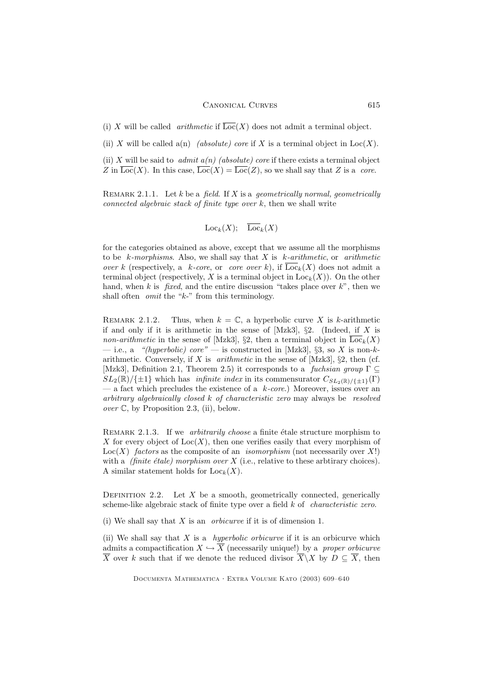## Canonical Curves 615

(i) X will be called *arithmetic* if  $\overline{\text{Loc}}(X)$  does not admit a terminal object.

(ii) X will be called a(n) *(absolute)* core if X is a terminal object in  $Loc(X)$ .

(ii) X will be said to *admit a(n)* (*absolute*) core if there exists a terminal object Z in  $\overline{\text{Loc}}(X)$ . In this case,  $\overline{\text{Loc}}(X) = \overline{\text{Loc}}(Z)$ , so we shall say that Z is a core.

REMARK 2.1.1. Let k be a field. If X is a geometrically normal, geometrically connected algebraic stack of finite type over  $k$ , then we shall write

$$
\mathrm{Loc}_k(X); \quad \overline{\mathrm{Loc}}_k(X)
$$

for the categories obtained as above, except that we assume all the morphisms to be  $k$ -morphisms. Also, we shall say that  $X$  is  $k$ -arithmetic, or arithmetic over k (respectively, a k-core, or core over k), if  $\text{Loc}_k(X)$  does not admit a terminal object (respectively, X is a terminal object in  $Loc_k(X)$ ). On the other hand, when k is fixed, and the entire discussion "takes place over  $k$ ", then we shall often *omit* the "k-" from this terminology.

REMARK 2.1.2. Thus, when  $k = \mathbb{C}$ , a hyperbolic curve X is k-arithmetic if and only if it is arithmetic in the sense of [Mzk3],  $\S2$ . (Indeed, if X is non-arithmetic in the sense of [Mzk3], §2, then a terminal object in  $\overline{\text{Loc}}_k(X)$ — i.e., a "(hyperbolic) core" — is constructed in [Mzk3],  $\S 3$ , so X is non-karithmetic. Conversely, if X is *arithmetic* in the sense of [Mzk3],  $\S$ 2, then (cf. [Mzk3], Definition 2.1, Theorem 2.5) it corresponds to a fuchsian group  $\Gamma \subseteq$  $SL_2(\mathbb{R})/\{\pm 1\}$  which has *infinite index* in its commensurator  $C_{SL_2(\mathbb{R})/\{\pm 1\}}(\Gamma)$ — a fact which precludes the existence of a  $k\text{-}core$ .) Moreover, issues over an arbitrary algebraically closed k of characteristic zero may always be resolved over  $\mathbb{C}$ , by Proposition 2.3, (ii), below.

REMARK 2.1.3. If we *arbitrarily choose* a finite  $\acute{e}$ tale structure morphism to X for every object of  $Loc(X)$ , then one verifies easily that every morphism of  $Loc(X)$  factors as the composite of an *isomorphism* (not necessarily over X!) with a *(finite étale) morphism over X* (i.e., relative to these arbtirary choices). A similar statement holds for  $Loc<sub>k</sub>(X)$ .

DEFINITION 2.2. Let  $X$  be a smooth, geometrically connected, generically scheme-like algebraic stack of finite type over a field k of characteristic zero.

(i) We shall say that  $X$  is an *orbicurve* if it is of dimension 1.

(ii) We shall say that  $X$  is a *hyperbolic orbicurve* if it is an orbicurve which admits a compactification  $X \hookrightarrow \overline{X}$  (necessarily unique!) by a *proper orbicurve*  $\overline{X}$  over k such that if we denote the reduced divisor  $\overline{X}\setminus X$  by  $D\subseteq\overline{X}$ , then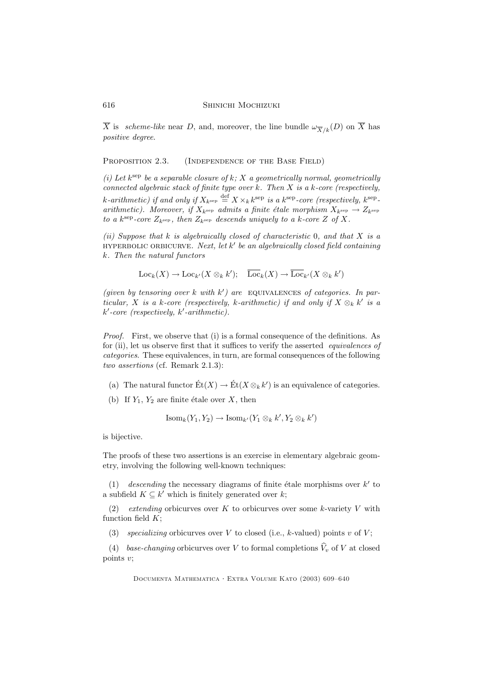$\overline{X}$  is *scheme-like* near D, and, moreover, the line bundle  $\omega_{\overline{X}/k}(D)$  on  $\overline{X}$  has positive degree.

PROPOSITION 2.3. (INDEPENDENCE OF THE BASE FIELD)

(i) Let  $k^{\text{sep}}$  be a separable closure of  $k$ ; X a geometrically normal, geometrically connected algebraic stack of finite type over  $k$ . Then  $X$  is a  $k$ -core (respectively, k-arithmetic) if and only if  $X_{k^{\text{sep}}} \stackrel{\text{def}}{=} X \times_k k^{\text{sep}}$  is a  $k^{\text{sep}}$ -core (respectively,  $k^{\text{sep}}$ arithmetic). Moreover, if  $X_{k^{\text{sep}}}$  admits a finite étale morphism  $X_{k^{\text{sep}}} \to Z_{k^{\text{sep}}}$ to a  $k^{\text{sep}}$ -core  $Z_{k^{\text{sep}}}$ , then  $Z_{k^{\text{sep}}}$  descends uniquely to a k-core Z of X.

(ii) Suppose that  $k$  is algebraically closed of characteristic 0, and that  $X$  is a HYPERBOLIC ORBICURVE. Next, let  $k'$  be an algebraically closed field containing k. Then the natural functors

$$
\mathrm{Loc}_k(X) \to \mathrm{Loc}_{k'}(X \otimes_k k'); \quad \overline{\mathrm{Loc}}_k(X) \to \overline{\mathrm{Loc}}_{k'}(X \otimes_k k')
$$

(given by tensoring over  $k$  with  $k'$ ) are EQUIVALENCES of categories. In particular, X is a k-core (respectively, k-arithmetic) if and only if  $X \otimes_k k'$  is a  $k'$ -core (respectively,  $k'$ -arithmetic).

*Proof.* First, we observe that (i) is a formal consequence of the definitions. As for (ii), let us observe first that it suffices to verify the asserted *equivalences of* categories. These equivalences, in turn, are formal consequences of the following two assertions (cf. Remark 2.1.3):

- (a) The natural functor  $\mathrm{Et}(X) \to \mathrm{Et}(X \otimes_k k')$  is an equivalence of categories.
- (b) If  $Y_1, Y_2$  are finite étale over X, then

$$
Isom_k(Y_1, Y_2) \to Isom_{k'}(Y_1 \otimes_k k', Y_2 \otimes_k k')
$$

is bijective.

The proofs of these two assertions is an exercise in elementary algebraic geometry, involving the following well-known techniques:

(1) descending the necessary diagrams of finite étale morphisms over  $k'$  to a subfield  $K \subseteq k'$  which is finitely generated over k;

(2) extending orbicurves over K to orbicurves over some k-variety V with function field  $K$ ;

(3) specializing orbicurves over V to closed (i.e., k-valued) points v of V;

(4) base-changing orbicurves over V to formal completions  $\widehat{V}_v$  of V at closed points v;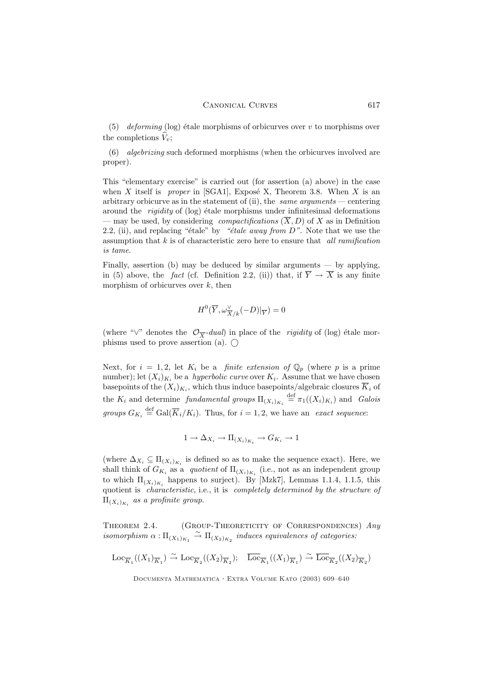(5) deforming (log) étale morphisms of orbicurves over v to morphisms over the completions  $\widehat{V}_v$ ;

(6) algebrizing such deformed morphisms (when the orbicurves involved are proper).

This "elementary exercise" is carried out (for assertion (a) above) in the case when X itself is proper in [SGA1], Exposé X, Theorem 3.8. When X is an arbitrary orbicurve as in the statement of (ii), the same arguments — centering around the *rigidity* of  $(\log)$  étale morphisms under infinitesimal deformations — may be used, by considering *compactifications*  $(\overline{X}, D)$  of X as in Definition 2.2, (ii), and replacing " $\acute{e}$ tale" by " $\acute{e}$ tale away from D". Note that we use the assumption that  $k$  is of characteristic zero here to ensure that *all ramification* is tame.

Finally, assertion (b) may be deduced by similar arguments — by applying, in (5) above, the *fact* (cf. Definition 2.2, (ii)) that, if  $\overline{Y} \to \overline{X}$  is any finite morphism of orbicurves over  $k$ , then

$$
H^0(\overline{Y}, \omega_{\overline{X}/k}^{\vee}(-D)|_{\overline{Y}}) = 0
$$

(where " $\vee$ " denotes the  $\mathcal{O}_{\overline{X}}$ -dual) in place of the *rigidity* of (log) étale morphisms used to prove assertion (a).  $\bigcirc$ 

Next, for  $i = 1, 2$ , let  $K_i$  be a *finite extension of*  $\mathbb{Q}_p$  (where p is a prime number); let  $(X_i)_{K_i}$  be a *hyperbolic curve* over  $K_i$ . Assume that we have chosen basepoints of the  $(X_i)_{K_i}$ , which thus induce basepoints/algebraic closures  $K_i$  of the  $K_i$  and determine fundamental groups  $\Pi_{(X_i)_{K_i}} \stackrel{\text{def}}{=} \pi_1((X_i)_{K_i})$  and Galois groups  $G_{K_i} \stackrel{\text{def}}{=} \text{Gal}(\overline{K}_i/K_i)$ . Thus, for  $i = 1, 2$ , we have an *exact sequence*:

$$
1 \to \Delta_{X_i} \to \Pi_{(X_i)_{K_i}} \to G_{K_i} \to 1
$$

(where  $\Delta_{X_i} \subseteq \Pi_{(X_i)_{K_i}}$  is defined so as to make the sequence exact). Here, we shall think of  $G_{K_i}$  as a quotient of  $\Pi_{(X_i)_{K_i}}$  (i.e., not as an independent group to which  $\Pi_{(X_i)_{K_i}}$  happens to surject). By [Mzk7], Lemmas 1.1.4, 1.1.5, this quotient is characteristic, i.e., it is completely determined by the structure of  $\Pi_{(X_i)_{K_i}}$  as a profinite group.

THEOREM 2.4. (GROUP-THEORETICITY OF CORRESPONDENCES) Any isomorphism  $\alpha : \Pi_{(X_1)_{K_1}} \xrightarrow{\sim} \Pi_{(X_2)_{K_2}}$  induces equivalences of categories:

$$
\text{Loc}_{\overline{K}_1}((X_1)_{\overline{K}_1}) \xrightarrow{\sim} \text{Loc}_{\overline{K}_2}((X_2)_{\overline{K}_2}); \quad \overline{\text{Loc}}_{\overline{K}_1}((X_1)_{\overline{K}_1}) \xrightarrow{\sim} \overline{\text{Loc}}_{\overline{K}_2}((X_2)_{\overline{K}_2})
$$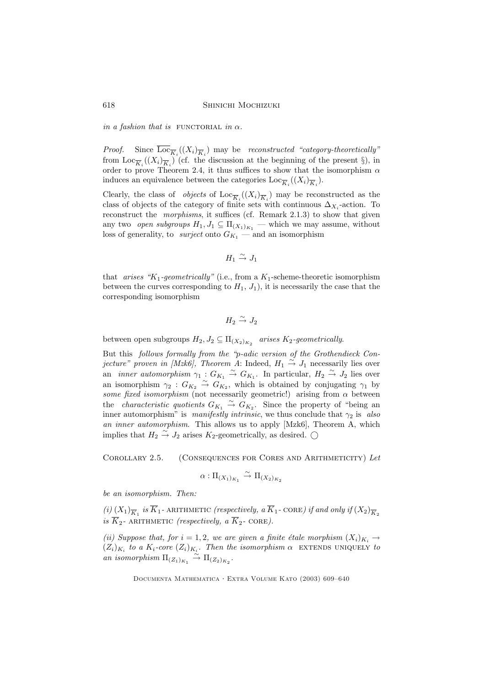in a fashion that is FUNCTORIAL in  $\alpha$ .

*Proof.* Since  $\text{Loc}_{\overline{K}_i}((X_i)_{\overline{K}_i})$  may be reconstructed "category-theoretically" from  $\text{Loc}_{\overline{K}_i}((X_i)_{\overline{K}_i})$  (cf. the discussion at the beginning of the present §), in order to prove Theorem 2.4, it thus suffices to show that the isomorphism  $\alpha$ induces an equivalence between the categories  $\text{Loc}_{\overline{K}_i}((X_i)_{\overline{K}_i})$ .

Clearly, the class of *objects* of  $\text{Loc}_{\overline{K}_i}((X_i)_{\overline{K}_i})$  may be reconstructed as the class of objects of the category of finite sets with continuous  $\Delta_{X_i}$ -action. To reconstruct the morphisms, it suffices (cf. Remark 2.1.3) to show that given any two *open subgroups*  $H_1, J_1 \subseteq \Pi_{(X_1)_{K_1}}$  — which we may assume, without loss of generality, to *surject* onto  $G_{K_1}$  — and an isomorphism

$$
H_1 \xrightarrow{\sim} J_1
$$

that *arises* " $K_1$ -geometrically" (i.e., from a  $K_1$ -scheme-theoretic isomorphism between the curves corresponding to  $H_1$ ,  $J_1$ ), it is necessarily the case that the corresponding isomorphism

$$
H_2 \xrightarrow{\sim} J_2
$$

between open subgroups  $H_2, J_2 \subseteq \Pi_{(X_2)_{K_2}}$  arises  $K_2$ -geometrically.

But this follows formally from the "p-adic version of the Grothendieck Conjecture" proven in [Mzk6], Theorem A: Indeed,  $H_1 \stackrel{\sim}{\rightarrow} J_1$  necessarily lies over an *inner automorphism*  $\gamma_1: G_{K_1} \stackrel{\sim}{\to} G_{K_1}$ . In particular,  $H_2 \stackrel{\sim}{\to} J_2$  lies over an isomorphism  $\gamma_2: G_{K_2} \stackrel{\sim}{\to} G_{K_2}$ , which is obtained by conjugating  $\gamma_1$  by some fixed isomorphism (not necessarily geometric!) arising from  $\alpha$  between the *characteristic quotients*  $G_{K_1} \stackrel{\sim}{\rightarrow} G_{K_2}$ . Since the property of "being an inner automorphism" is manifestly intrinsic, we thus conclude that  $\gamma_2$  is also an inner automorphism. This allows us to apply [Mzk6], Theorem A, which implies that  $H_2 \stackrel{\sim}{\to} J_2$  arises  $K_2$ -geometrically, as desired.  $\bigcirc$ 

COROLLARY 2.5. (CONSEQUENCES FOR CORES AND ARITHMETICITY) Let

$$
\alpha:\Pi_{(X_1)_{K_1}}\stackrel{\sim}{\to} \Pi_{(X_2)_{K_2}}
$$

be an isomorphism. Then:

 $(i)$   $(X_1)_{\overline{K}_1}$  is  $K_1$ - arithmetic (respectively, a  $K_1$ - core) if and only if  $(X_2)_{\overline{K}_2}$ is  $\overline{K}_2$ - arithmetic (respectively, a  $\overline{K}_2$ - CORE).

(ii) Suppose that, for  $i = 1, 2$ , we are given a finite étale morphism  $(X_i)_{K_i} \rightarrow$  $(Z_i)_{K_i}$  to a  $K_i$ -core  $(Z_i)_{K_i}$ . Then the isomorphism  $\alpha$  extends uniquely to an isomorphism  $\Pi_{(Z_1)_{K_1}} \stackrel{\sim}{\rightarrow} \Pi_{(Z_2)_{K_2}}$ .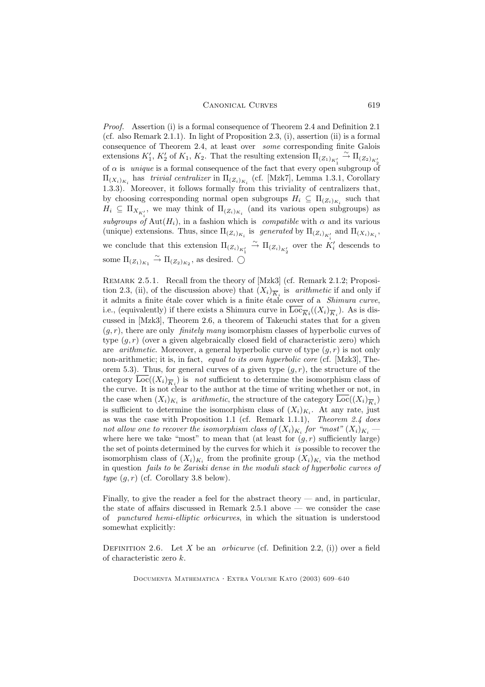## CANONICAL CURVES 619

Proof. Assertion (i) is a formal consequence of Theorem 2.4 and Definition 2.1 (cf. also Remark 2.1.1). In light of Proposition 2.3, (i), assertion (ii) is a formal consequence of Theorem 2.4, at least over some corresponding finite Galois extensions  $K'_1, K'_2$  of  $K_1, K_2$ . That the resulting extension  $\Pi_{(Z_1)_{K'_1}} \stackrel{\sim}{\rightarrow} \Pi_{(Z_2)_{K'_2}}$ of  $\alpha$  is unique is a formal consequence of the fact that every open subgroup of  $\Pi_{(X_i)_{K_i}}$  has *trivial centralizer* in  $\Pi_{(Z_i)_{K_i}}$  (cf. [Mzk7], Lemma 1.3.1, Corollary 1.3.3). Moreover, it follows formally from this triviality of centralizers that, by choosing corresponding normal open subgroups  $H_i \subseteq \Pi_{(Z_i)_{K_i}}$  such that  $H_i \subseteq \Pi_{X_{K_i'}}$ , we may think of  $\Pi_{(Z_i)_{K_i}}$  (and its various open subgroups) as subgroups of Aut $(H_i)$ , in a fashion which is *compatible* with  $\alpha$  and its various (unique) extensions. Thus, since  $\Pi_{(Z_i)_{K_i}}$  is generated by  $\Pi_{(Z_i)_{K'_i}}$  and  $\Pi_{(X_i)_{K_i}}$ , we conclude that this extension  $\Pi_{(Z_i)_{K'_1}} \stackrel{\sim}{\to} \Pi_{(Z_i)_{K'_2}}$  over the  $K'_i$  descends to some  $\Pi_{(Z_1)_{K_1}} \stackrel{\sim}{\rightarrow} \Pi_{(Z_2)_{K_2}}$ , as desired.  $\bigcirc$ 

Remark 2.5.1. Recall from the theory of [Mzk3] (cf. Remark 2.1.2; Proposition 2.3, (ii), of the discussion above) that  $(X_i)_{\overline{K}_i}$  is *arithmetic* if and only if it admits a finite étale cover which is a finite étale cover of a *Shimura curve*, i.e., (equivalently) if there exists a Shimura curve in  $\text{Loc}_{\overline{Ki}}((X_i)_{\overline{K}_i})$ . As is discussed in [Mzk3], Theorem 2.6, a theorem of Takeuchi states that for a given  $(q, r)$ , there are only *finitely many* isomorphism classes of hyperbolic curves of type  $(q, r)$  (over a given algebraically closed field of characteristic zero) which are *arithmetic*. Moreover, a general hyperbolic curve of type  $(g, r)$  is not only non-arithmetic; it is, in fact, equal to its own hyperbolic core (cf. [Mzk3], Theorem 5.3). Thus, for general curves of a given type  $(g, r)$ , the structure of the category  $Loc((X_i)_{\overline{K}_i})$  is *not* sufficient to determine the isomorphism class of the curve. It is not clear to the author at the time of writing whether or not, in the case when  $(X_i)_{K_i}$  is *arithmetic*, the structure of the category  $Loc((X_i)_{\overline{K}_i})$ is sufficient to determine the isomorphism class of  $(X_i)_{K_i}$ . At any rate, just as was the case with Proposition 1.1 (cf. Remark 1.1.1), Theorem 2.4 does not allow one to recover the isomorphism class of  $(X_i)_{K_i}$  for "most"  $(X_i)_{K_i}$  where here we take "most" to mean that (at least for  $(g, r)$  sufficiently large) the set of points determined by the curves for which it is possible to recover the isomorphism class of  $(X_i)_{K_i}$  from the profinite group  $(X_i)_{K_i}$  via the method in question fails to be Zariski dense in the moduli stack of hyperbolic curves of type  $(q, r)$  (cf. Corollary 3.8 below).

Finally, to give the reader a feel for the abstract theory  $-$  and, in particular, the state of affairs discussed in Remark 2.5.1 above — we consider the case of punctured hemi-elliptic orbicurves, in which the situation is understood somewhat explicitly:

DEFINITION 2.6. Let X be an *orbicurve* (cf. Definition 2.2, (i)) over a field of characteristic zero k.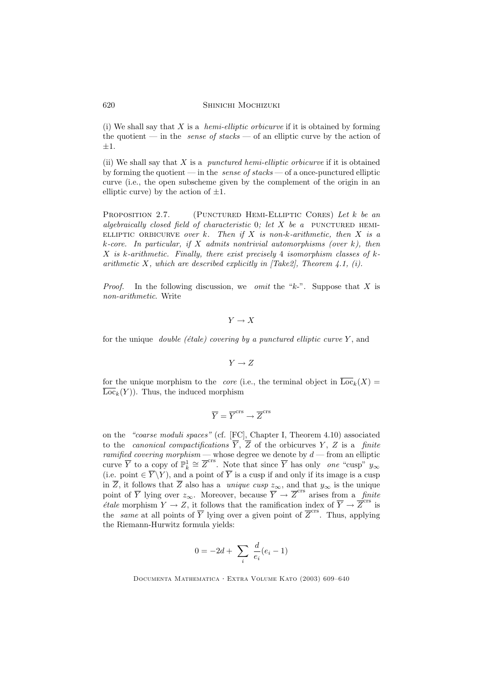(i) We shall say that  $X$  is a *hemi-elliptic orbicurve* if it is obtained by forming the quotient — in the *sense of stacks* — of an elliptic curve by the action of  $\pm 1.$ 

(ii) We shall say that  $X$  is a *punctured hemi-elliptic orbicurve* if it is obtained by forming the quotient — in the *sense of stacks* — of a once-punctured elliptic curve (i.e., the open subscheme given by the complement of the origin in an elliptic curve) by the action of  $\pm 1$ .

PROPOSITION 2.7. (PUNCTURED HEMI-ELLIPTIC CORES) Let k be an algebraically closed field of characteristic  $0$ ; let  $X$  be a PUNCTURED HEMI-ELLIPTIC ORBICURVE over  $k$ . Then if  $X$  is non-k-arithmetic, then  $X$  is a k-core. In particular, if X admits nontrivial automorphisms (over  $k$ ), then  $X$  is k-arithmetic. Finally, there exist precisely 4 isomorphism classes of karithmetic X, which are described explicitly in  $[Take 2]$ , Theorem 4.1, (i).

*Proof.* In the following discussion, we *omit* the " $k$ -". Suppose that X is non-arithmetic. Write

 $Y \to X$ 

for the unique *double (étale) covering by a punctured elliptic curve Y*, and

$$
Y\to Z
$$

for the unique morphism to the *core* (i.e., the terminal object in  $\overline{\text{Loc}}_k(X) =$  $\overline{\text{Loc}}_k(Y)$ . Thus, the induced morphism

$$
\overline{Y}=\overline{Y}^{\text{crs}}\to \overline{Z}^{\text{crs}}
$$

on the "coarse moduli spaces" (cf.  $[FC]$ , Chapter I, Theorem 4.10) associated to the *canonical compactifications*  $Y$ ,  $Z$  of the orbicurves  $Y$ ,  $Z$  is a *finite* ramified covering morphism — whose degree we denote by  $d$  — from an elliptic curve  $\overline{Y}$  to a copy of  $\mathbb{P}_k^1 \cong \overline{Z}^{\text{crs}}$ . Note that since  $\overline{Y}$  has only *one* "cusp"  $y_{\infty}$ (i.e. point  $\in \overline{Y}\backslash Y$ ), and a point of  $\overline{Y}$  is a cusp if and only if its image is a cusp in  $\overline{Z}$ , it follows that  $\overline{Z}$  also has a *unique cusp*  $z_{\infty}$ , and that  $y_{\infty}$  is the unique point of  $\overline{Y}$  lying over  $z_{\infty}$ . Moreover, because  $\overline{Y} \to \overline{Z}^{\text{crs}}$  arises from a finite *étale* morphism  $Y \to Z$ , it follows that the ramification index of  $\overline{Y} \to \overline{Z}^{\text{crs}}$  is the *same* at all points of  $\overline{Y}$  lying over a given point of  $\overline{Z}^{\text{crs}}$ . Thus, applying the Riemann-Hurwitz formula yields:

$$
0 = -2d + \sum_{i} \frac{d}{e_i} (e_i - 1)
$$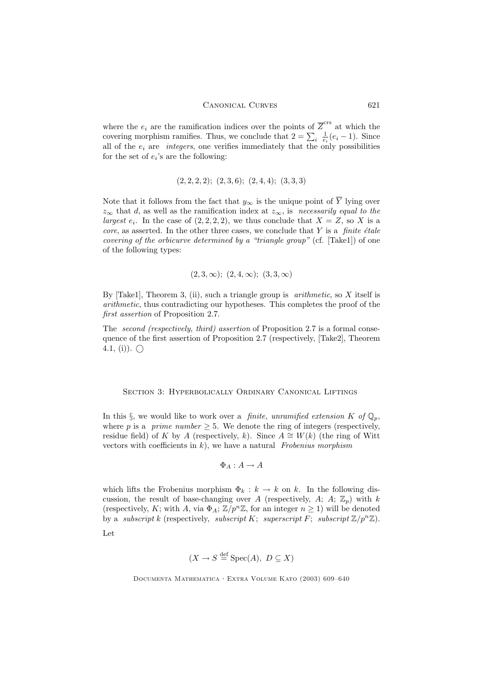where the  $e_i$  are the ramification indices over the points of  $\overline{Z}^{\text{crs}}$  at which the covering morphism ramifies. Thus, we conclude that  $2 = \sum_i \frac{1}{e_i}(e_i - 1)$ . Since all of the  $e_i$  are *integers*, one verifies immediately that the only possibilities for the set of  $e_i$ 's are the following:

$$
(2, 2, 2, 2); (2, 3, 6); (2, 4, 4); (3, 3, 3)
$$

Note that it follows from the fact that  $y_{\infty}$  is the unique point of  $\overline{Y}$  lying over  $z_{\infty}$  that d, as well as the ramification index at  $z_{\infty}$ , is necessarily equal to the largest  $e_i$ . In the case of  $(2, 2, 2, 2)$ , we thus conclude that  $X = Z$ , so X is a  $core$ , as asserted. In the other three cases, we conclude that Y is a finite étale covering of the orbicurve determined by a "triangle group" (cf. [Take1]) of one of the following types:

$$
(2,3,\infty); (2,4,\infty); (3,3,\infty)
$$

By  $[Take 1], Theorem 3, (ii), such a triangle group is *arithmetic*, so X itself is$ arithmetic, thus contradicting our hypotheses. This completes the proof of the first assertion of Proposition 2.7.

The second (respectively, third) assertion of Proposition 2.7 is a formal consequence of the first assertion of Proposition 2.7 (respectively, [Take2], Theorem 4.1, (i)).  $\bigcirc$ 

# SECTION 3: HYPERBOLICALLY ORDINARY CANONICAL LIFTINGS

In this  $\S$ , we would like to work over a *finite*, unramified extension K of  $\mathbb{Q}_p$ , where p is a prime number  $\geq 5$ . We denote the ring of integers (respectively, residue field) of K by A (respectively, k). Since  $A \cong W(k)$  (the ring of Witt vectors with coefficients in  $k$ ), we have a natural Frobenius morphism

$$
\Phi_A: A \to A
$$

which lifts the Frobenius morphism  $\Phi_k : k \to k$  on k. In the following discussion, the result of base-changing over A (respectively, A; A;  $\mathbb{Z}_p$ ) with k (respectively, K; with A, via  $\Phi_A$ ;  $\mathbb{Z}/p^n\mathbb{Z}$ , for an integer  $n \geq 1$ ) will be denoted by a *subscript k* (respectively, *subscript K*; *superscript F*; *subscript*  $\mathbb{Z}/p^n\mathbb{Z}$ ).

Let

$$
(X \to S \stackrel{\text{def}}{=} \text{Spec}(A), D \subseteq X)
$$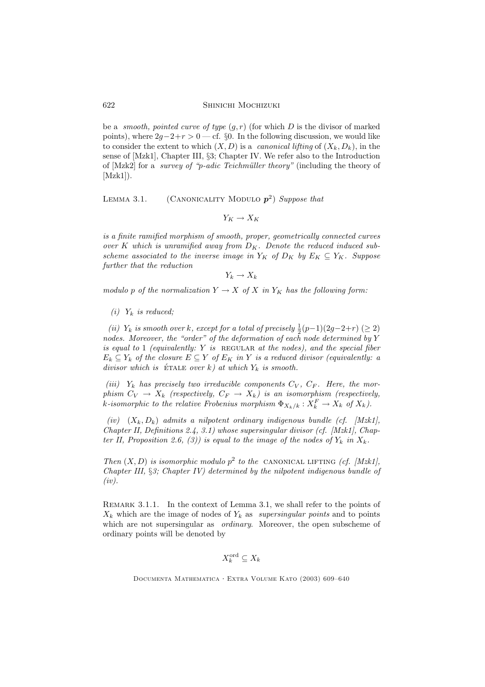be a *smooth, pointed curve of type*  $(g, r)$  (for which D is the divisor of marked points), where  $2g-2+r > 0$  — cf. §0. In the following discussion, we would like to consider the extent to which  $(X, D)$  is a *canonical lifting* of  $(X_k, D_k)$ , in the sense of [Mzk1], Chapter III, §3; Chapter IV. We refer also to the Introduction of  $[Mzk2]$  for a *survey of "p-adic Teichmüller theory"* (including the theory of  $[Mzk1]$ .

LEMMA 3.1. (CANONICALITY MODULO  $p^2$ ) Suppose that

 $Y_K \to X_K$ 

is a finite ramified morphism of smooth, proper, geometrically connected curves over K which is unramified away from  $D_K$ . Denote the reduced induced subscheme associated to the inverse image in  $Y_K$  of  $D_K$  by  $E_K \subseteq Y_K$ . Suppose further that the reduction

 $Y_k \to X_k$ 

modulo p of the normalization  $Y \to X$  of X in  $Y_K$  has the following form:

# (i)  $Y_k$  is reduced;

(ii)  $Y_k$  is smooth over k, except for a total of precisely  $\frac{1}{2}(p-1)(2g-2+r) \geq 2$ ) nodes. Moreover, the "order" of the deformation of each node determined by Y is equal to 1 (equivalently: Y is REGULAR at the nodes), and the special fiber  $E_k \subseteq Y_k$  of the closure  $E \subseteq Y$  of  $E_K$  in Y is a reduced divisor (equivalently: a divisor which is ETALE over k) at which  $Y_k$  is smooth.

(iii)  $Y_k$  has precisely two irreducible components  $C_V$ ,  $C_F$ . Here, the morphism  $C_V \rightarrow X_k$  (respectively,  $C_F \rightarrow X_k$ ) is an isomorphism (respectively, k-isomorphic to the relative Frobenius morphism  $\Phi_{X_k/k}: X_k^F \to X_k$  of  $X_k$ ).

(iv)  $(X_k, D_k)$  admits a nilpotent ordinary indigenous bundle (cf. [Mzk1], Chapter II, Definitions 2.4, 3.1) whose supersingular divisor (cf. [Mzk1], Chapter II, Proposition 2.6, (3)) is equal to the image of the nodes of  $Y_k$  in  $X_k$ .

Then  $(X, D)$  is isomorphic modulo  $p^2$  to the CANONICAL LIFTING (cf. [Mzk1], Chapter III, §3; Chapter IV) determined by the nilpotent indigenous bundle of  $(iv).$ 

REMARK 3.1.1. In the context of Lemma 3.1, we shall refer to the points of  $X_k$  which are the image of nodes of  $Y_k$  as *supersingular points* and to points which are not supersingular as *ordinary*. Moreover, the open subscheme of ordinary points will be denoted by

$$
X_k^{\text{ord}} \subseteq X_k
$$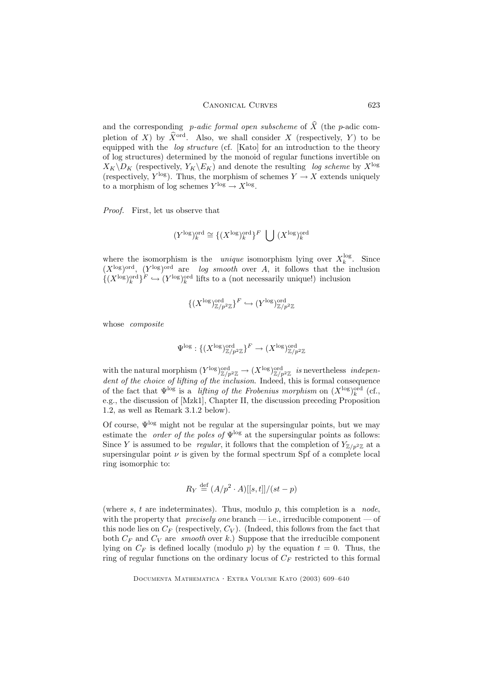#### Canonical Curves 623

and the corresponding p-adic formal open subscheme of  $\widehat{X}$  (the p-adic completion of X) by  $\widehat{X}^{\text{ord}}$ . Also, we shall consider X (respectively, Y) to be equipped with the log structure (cf. [Kato] for an introduction to the theory of log structures) determined by the monoid of regular functions invertible on  $X_K\backslash D_K$  (respectively,  $Y_K\backslash E_K$ ) and denote the resulting log scheme by  $X^{\log}$ (respectively,  $Y^{\log}$ ). Thus, the morphism of schemes  $Y \to X$  extends uniquely to a morphism of log schemes  $Y^{\log} \to X^{\log}$ .

Proof. First, let us observe that

$$
(Y^{\log})_k^{\text{ord}} \cong \{(X^{\log})_k^{\text{ord}}\}^F \bigcup (X^{\log})_k^{\text{ord}}
$$

where the isomorphism is the *unique* isomorphism lying over  $X_k^{\log}$ . Since  $(X<sup>log</sup>)<sup>ord</sup>$ ,  $(Y<sup>log</sup>)<sup>ord</sup>$  are *log smooth* over A, it follows that the inclusion  $\{(X^{\log})_k^{\text{ord}}\}^F \hookrightarrow (Y^{\log})_k^{\text{ord}}$  lifts to a (not necessarily unique!) inclusion

$$
\{(X^{\log})^{\mathrm{ord}}_{\mathbb{Z}/p^2\mathbb{Z}}\}^F \hookrightarrow (Y^{\log})^{\mathrm{ord}}_{\mathbb{Z}/p^2\mathbb{Z}}
$$

whose *composite* 

$$
\Psi^{\log} : \{ (X^{\log})^{\mathrm{ord}}_{\mathbb{Z}/p^2\mathbb{Z}} \}^F \to (X^{\log})^{\mathrm{ord}}_{\mathbb{Z}/p^2\mathbb{Z}}
$$

with the natural morphism  $(Y^{\text{log}})_{\mathbb{Z}/p^2\mathbb{Z}}^{\text{ord}} \to (X^{\text{log}})_{\mathbb{Z}/p^2\mathbb{Z}}^{\text{ord}}$  is nevertheless *indepen*dent of the choice of lifting of the inclusion. Indeed, this is formal consequence of the fact that  $\Psi^{\log}$  is a *lifting of the Frobenius morphism* on  $(X^{\log})_k^{\text{ord}}$  (cf., e.g., the discussion of [Mzk1], Chapter II, the discussion preceding Proposition 1.2, as well as Remark 3.1.2 below).

Of course,  $\Psi^{\text{log}}$  might not be regular at the supersingular points, but we may estimate the *order of the poles of*  $\Psi^{\log}$  at the supersingular points as follows: Since Y is assumed to be *regular*, it follows that the completion of  $Y_{\mathbb{Z}/p^2\mathbb{Z}}$  at a supersingular point  $\nu$  is given by the formal spectrum Spf of a complete local ring isomorphic to:

$$
R_Y \stackrel{\text{def}}{=} (A/p^2 \cdot A)[[s, t]]/(st - p)
$$

(where s, t are indeterminates). Thus, modulo p, this completion is a *node*, with the property that *precisely one* branch — i.e., irreducible component — of this node lies on  $C_F$  (respectively,  $C_V$ ). (Indeed, this follows from the fact that both  $C_F$  and  $C_V$  are *smooth* over k.) Suppose that the irreducible component lying on  $C_F$  is defined locally (modulo p) by the equation  $t = 0$ . Thus, the ring of regular functions on the ordinary locus of  $C_F$  restricted to this formal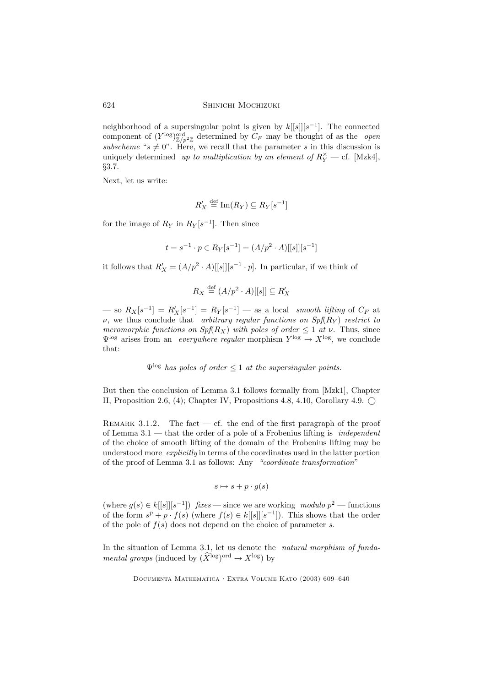neighborhood of a supersingular point is given by  $k[[s]][s^{-1}]$ . The connected component of  $(Y^{\log})^{\text{ord}}_{\mathbb{Z}/p^2\mathbb{Z}}$  determined by  $C_F$  may be thought of as the *open* subscheme " $s \neq 0$ ". Here, we recall that the parameter s in this discussion is uniquely determined up to multiplication by an element of  $R_Y^{\times}$  - cf. [Mzk4], §3.7.

Next, let us write:

$$
R'_X \stackrel{\text{def}}{=} \operatorname{Im}(R_Y) \subseteq R_Y[s^{-1}]
$$

for the image of  $R_Y$  in  $R_Y[s^{-1}]$ . Then since

$$
t = s^{-1} \cdot p \in R_Y[s^{-1}] = (A/p^2 \cdot A)[[s]][s^{-1}]
$$

it follows that  $R'_X = (A/p^2 \cdot A)[[s]][s^{-1} \cdot p]$ . In particular, if we think of

$$
R_X \stackrel{\text{def}}{=} (A/p^2 \cdot A)[[s]] \subseteq R'_X
$$

 $-$  so  $R_X[s^{-1}] = R'_X[s^{-1}] = R_Y[s^{-1}] -$  as a local *smooth lifting* of  $C_F$  at  $\nu$ , we thus conclude that *arbitrary regular functions on Spf*( $R_Y$ ) restrict to meromorphic functions on  $Spf(R_X)$  with poles of order  $\leq 1$  at  $\nu$ . Thus, since  $\Psi^{\log}$  arises from an *everywhere regular* morphism  $Y^{\log} \to X^{\log}$ , we conclude that:

 $\Psi^{\log}$  has poles of order  $\leq 1$  at the supersingular points.

But then the conclusion of Lemma 3.1 follows formally from [Mzk1], Chapter II, Proposition 2.6, (4); Chapter IV, Propositions 4.8, 4.10, Corollary 4.9.  $\bigcap$ 

REMARK 3.1.2. The fact  $-$  cf. the end of the first paragraph of the proof of Lemma 3.1 — that the order of a pole of a Frobenius lifting is *independent* of the choice of smooth lifting of the domain of the Frobenius lifting may be understood more *explicitly* in terms of the coordinates used in the latter portion of the proof of Lemma 3.1 as follows: Any "coordinate transformation"

$$
s \mapsto s + p \cdot g(s)
$$

(where  $g(s) \in k[[s]][s^{-1}]$ ) fixes — since we are working modulo  $p^2$  — functions of the form  $s^p + p \cdot f(s)$  (where  $f(s) \in k[[s]][s^{-1}]$ ). This shows that the order of the pole of  $f(s)$  does not depend on the choice of parameter s.

In the situation of Lemma 3.1, let us denote the natural morphism of funda*mental groups* (induced by  $(\hat{X}^{\log})^{\text{ord}} \to X^{\log}$ ) by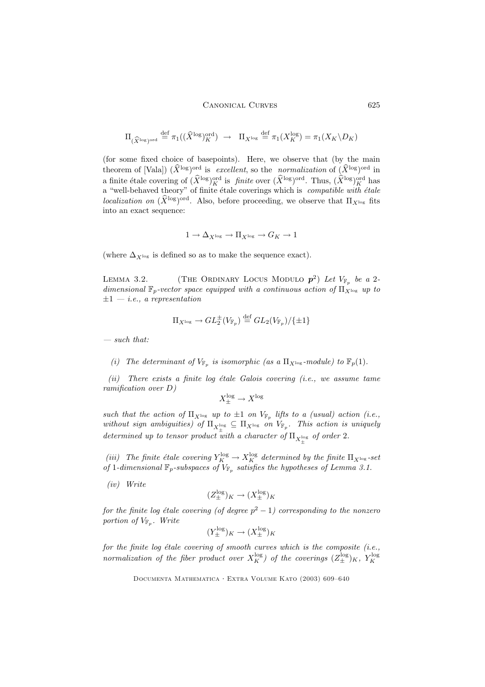### CANONICAL CURVES 625

$$
\Pi_{\widehat{X}^{\log\text{ord}}}\stackrel{\text{def}}{=}\pi_1((\widehat{X}^{\log})_K^{\text{ord}})\;\to\;\; \Pi_{X^{\log}}\stackrel{\text{def}}{=}\pi_1(X_K^{\log})=\pi_1(X_K\backslash D_K)
$$

(for some fixed choice of basepoints). Here, we observe that (by the main theorem of [Vala])  $(\hat{X}^{\text{log}})^{\text{ord}}$  is *excellent*, so the *normalization* of  $(\hat{X}^{\text{log}})^{\text{ord}}$  in a finite étale covering of  $(\widehat{X}^{\log})_K^{\text{ord}}$  is finite over  $(\widehat{X}^{\log})^{\text{ord}}$ . Thus,  $(\widehat{X}^{\log})_K^{\text{ord}}$  has a "well-behaved theory" of finite étale coverings which is compatible with étale localization on  $(X^{\log})^{\text{ord}}$ . Also, before proceeding, we observe that  $\Pi_{X^{\log}}$  fits into an exact sequence:

$$
1\to \Delta_{X^\mathrm{log}}\to \Pi_{X^\mathrm{log}}\to G_K\to 1
$$

(where  $\Delta_{X^{\log}}$  is defined so as to make the sequence exact).

LEMMA 3.2. (THE ORDINARY LOCUS MODULO  $p^2$ ) Let  $V_{\mathbb{F}_p}$  be a 2dimensional  $\mathbb{F}_p$ -vector space equipped with a continuous action of  $\Pi_{X^{\log}}$  up to  $\pm 1$  – *i.e.*, a representation

$$
\Pi_{X^\mathrm{log}} \to GL_2^\pm(V_{\mathbb{F}_p}) \stackrel{\mathrm{def}}{=} GL_2(V_{\mathbb{F}_p})/\{\pm 1\}
$$

— such that:

(i) The determinant of  $V_{\mathbb{F}_p}$  is isomorphic (as a  $\Pi_{X^{\log}}$ -module) to  $\mathbb{F}_p(1)$ .

 $(ii)$  There exists a finite log étale Galois covering (i.e., we assume tame ramification over D)

$$
X^{\log}_\pm \to X^{\log}
$$

such that the action of  $\Pi_{X^{\log}}$  up to  $\pm 1$  on  $V_{\mathbb{F}_p}$  lifts to a (usual) action (i.e., without sign ambiguities) of  $\Pi_{X_+^{\log}}\subseteq \Pi_{X^{\log}}$  on  $V_{\mathbb{F}_p}$ . This action is uniquely determined up to tensor product with a character of  $\Pi_{X_{\pm}}^{\log}$  of order 2.

(iii) The finite étale covering  $Y_K^{\log} \to X_K^{\log}$  determined by the finite  $\Pi_{X^{\log}}$ -set of 1-dimensional  $\mathbb{F}_p$ -subspaces of  $V_{\mathbb{F}_p}$  satisfies the hypotheses of Lemma 3.1.

(iv) Write

$$
(Z_{\pm}^{\log})_K \to (X_{\pm}^{\log})_K
$$

for the finite log étale covering (of degree  $p^2-1$ ) corresponding to the nonzero portion of  $V_{\mathbb{F}_p}$ . Write

$$
(Y_{\pm}^{\log})_K \to (X_{\pm}^{\log})_K
$$

for the finite log étale covering of smooth curves which is the composite (i.e., normalization of the fiber product over  $X_K^{\log}$ ) of the coverings  $(Z_{\pm}^{\log})_K$ ,  $Y_K^{\log}$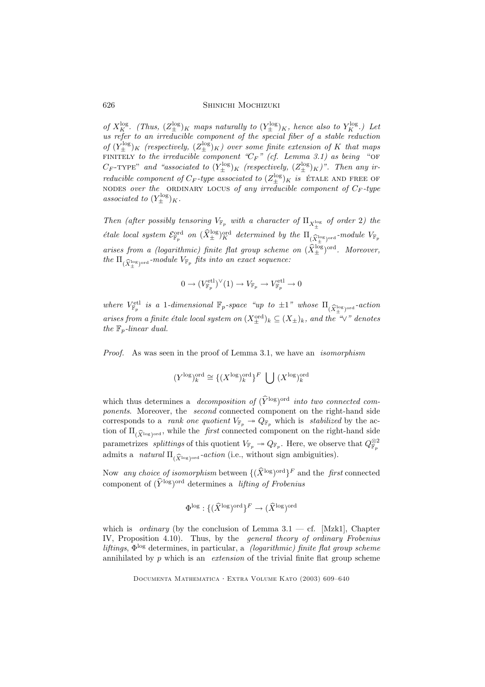of  $X_K^{\log}$ . (Thus,  $(Z_{\pm}^{\log})_K$  maps naturally to  $(Y_{\pm}^{\log})_K$ , hence also to  $Y_K^{\log}$ .) Let us refer to an irreducible component of the special fiber of a stable reduction of  $(Y_{\pm}^{\log})_K$  (respectively,  $(Z_{\pm}^{\log})_K$ ) over some finite extension of K that maps FINITELY to the irreducible component " $C_F$ " (cf. Lemma 3.1) as being "OF  $C_F$ -type" and "associated to  $(Y_\pm^{\log})_K$  (respectively,  $(Z_\pm^{\log})_K$ )". Then any ir*reducible component of*  $C_F$ *-type associated to*  $(Z_{\pm}^{\log})_K$  *is*  $\epsilon$  final and free of NODES over the ORDINARY LOCUS of any irreducible component of  $C_F$ -type associated to  $(Y_{\pm}^{\log})_K$ .

Then (after possibly tensoring  $V_{\mathbb{F}_p}$  with a character of  $\Pi_{X_+^{\log}}$  of order 2) the *étale local system*  $\mathcal{E}_{\mathbb{F}_p}^{\text{ord}}$  *on*  $(\widehat{X}_{\pm}^{\log})_K^{\text{ord}}$  *determined by the*  $\Pi_{(\widehat{X}_{\pm}^{\log})^{\text{ord}}}$ *-module*  $V_{\mathbb{F}_p}$ arises from a (logarithmic) finite flat group scheme on  $(\widehat{X}_{\pm}^{\log})^{\text{ord}}$ . Moreover, the  $\Pi_{(\widehat{X}^{\mathrm{log}}_\pm)^\mathrm{ord}}$ -module  $V_{\mathbb{F}_p}$  fits into an exact sequence:

$$
0 \to (V^{\mathrm{etl}}_{\mathbb{F}_p})^{\vee}(1) \to V_{\mathbb{F}_p} \to V^{\mathrm{etl}}_{\mathbb{F}_p} \to 0
$$

where  $V_{\mathbb{F}_p}^{\text{etl}}$  is a 1-dimensional  $\mathbb{F}_p$ -space "up to  $\pm 1$ " whose  $\Pi_{(\widehat{X}_{\pm}^{\text{log}})^{\text{ord}}}$ -action arises from a finite étale local system on  $(X_\pm^{\text{ord}})_k \subseteq (X_\pm)_k$ , and the " $\vee$ " denotes the  $\mathbb{F}_p$ -linear dual.

Proof. As was seen in the proof of Lemma 3.1, we have an isomorphism

$$
(Y^{\log})_k^{\text{ord}} \cong \{(X^{\log})_k^{\text{ord}}\}^F \bigcup (X^{\log})_k^{\text{ord}}
$$

which thus determines a *decomposition of*  $(\hat{Y}^{\log})^{\text{ord}}$  *into two connected com*ponents. Moreover, the second connected component on the right-hand side corresponds to a *rank one quotient*  $V_{\mathbb{F}_p} \to Q_{\mathbb{F}_p}$  which is *stabilized* by the action of  $\Pi_{(\widehat{X}^{\log})^{\text{ord}}}$ , while the *first* connected component on the right-hand side parametrizes *splittings* of this quotient  $V_{\mathbb{F}_p} \to Q_{\mathbb{F}_p}$ . Here, we observe that  $Q_{\mathbb{F}_p}^{\otimes 2}$ admits a *natural*  $\Pi_{(\widehat{X}^{\log})^{\text{ord}}}$ -action (i.e., without sign ambiguities).

Now *any choice of isomorphism* between  $\{(\hat{X}^{\log})^{\text{ord}}\}^F$  and the *first* connected component of  $(\widehat{Y}^{\log})^{\text{ord}}$  determines a *lifting of Frobenius* 

$$
\Phi^{\log}:\{(\widehat{X}^{\log})^{\mathrm{ord}}\}^F\rightarrow(\widehat{X}^{\log})^{\mathrm{ord}}
$$

which is *ordinary* (by the conclusion of Lemma 3.1 — cf. [Mzk1], Chapter IV, Proposition 4.10). Thus, by the general theory of ordinary Frobenius liftings,  $\Phi^{\log}$  determines, in particular, a *(logarithmic)* finite flat group scheme annihilated by  $p$  which is an *extension* of the trivial finite flat group scheme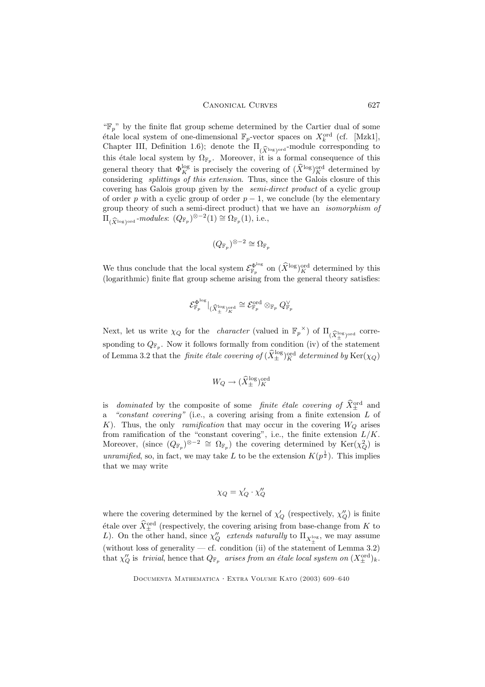$\mathscr{F}_{p}$ " by the finite flat group scheme determined by the Cartier dual of some étale local system of one-dimensional  $\mathbb{F}_p$ -vector spaces on  $X_k^{\text{ord}}$  (cf. [Mzk1], Chapter III, Definition 1.6); denote the  $\Pi_{\widehat{X}^{\log}$  ord -module corresponding to this *i*tals legal gratem by  $\Omega$  . Measure it is a formal generator of this this étale local system by  $\Omega_{\mathbb{F}_p}$ . Moreover, it is a formal consequence of this general theory that  $\Phi_K^{\log}$  is precisely the covering of  $(\widehat{X}^{\log})_K^{\text{ord}}$  determined by considering splittings of this extension. Thus, since the Galois closure of this covering has Galois group given by the semi-direct product of a cyclic group of order p with a cyclic group of order  $p-1$ , we conclude (by the elementary group theory of such a semi-direct product) that we have an isomorphism of  $\Pi_{(\widehat{X}^{\log})^{\text{ord}}}$ -modules:  $(Q_{\mathbb{F}_p})^{\otimes -2}(1) \cong \Omega_{\mathbb{F}_p}(1)$ , i.e.,

$$
(Q_{\mathbb{F}_p})^{\otimes -2} \cong \Omega_{\mathbb{F}_p}
$$

We thus conclude that the local system  $\mathcal{E}^{\Phi^{\log}}_{\mathbb{F}_p}$  on  $(\widehat{X}^{\log})^{\text{ord}}_K$  determined by this (logarithmic) finite flat group scheme arising from the general theory satisfies:

$$
\mathcal{E}_{\mathbb{F}_p}^{\Phi^{\mathrm{log}}}|_{(\widehat{X}^{\mathrm{log}}_\pm)^{\mathrm{ord}}_\mathcal{K}}\cong \mathcal{E}_{\mathbb{F}_p}^{\mathrm{ord}}\otimes_{\mathbb{F}_p}Q^\vee_{\mathbb{F}_p}
$$

Next, let us write  $\chi_Q$  for the *character* (valued in  $\mathbb{F}_p^{\times}$ ) of  $\Pi_{(\widehat{X}_\pm^{\text{log}})^{\text{ord}}}$  corresponding to  $Q_{\mathbb{F}_p}$ . Now it follows formally from condition (iv) of the statement of Lemma 3.2 that the *finite étale covering of*  $(\widehat{X}_{\pm}^{\log})_K^{\text{ord}}$  *determined by*  $\text{Ker}(\chi_Q)$ 

$$
W_Q \to (\widehat{X}^{\log}_\pm)^{\text{ord}}_K
$$

is dominated by the composite of some finite étale covering of  $\hat{X}_{\pm}^{\text{ord}}$  and "constant covering" (i.e., a covering arising from a finite extension  $L$  of K). Thus, the only ramification that may occur in the covering  $W_Q$  arises from ramification of the "constant covering", i.e., the finite extension  $L/K$ . Moreover, (since  $(Q_{\mathbb{F}_p})^{\otimes -2} \cong \Omega_{\mathbb{F}_p}$ ) the covering determined by  $\text{Ker}(\chi_Q^2)$  is unramified, so, in fact, we may take L to be the extension  $K(p^{\frac{1}{2}})$ . This implies that we may write

$$
\chi_Q = \chi'_Q \cdot \chi''_Q
$$

where the covering determined by the kernel of  $\chi'_{Q}$  (respectively,  $\chi''_{Q}$ ) is finite étale over  $\hat{X}_{\pm}^{\text{ord}}$  (respectively, the covering arising from base-change from K to L). On the other hand, since  $\chi''_Q$  extends naturally to  $\Pi_{X_{\pm}^{\log}}$ , we may assume (without loss of generality — cf. condition (ii) of the statement of Lemma 3.2) that  $\chi''_Q$  is *trivial*, hence that  $Q_{\mathbb{F}_p}$  *arises from an étale local system on*  $(X_\pm^{\text{ord}})_k$ .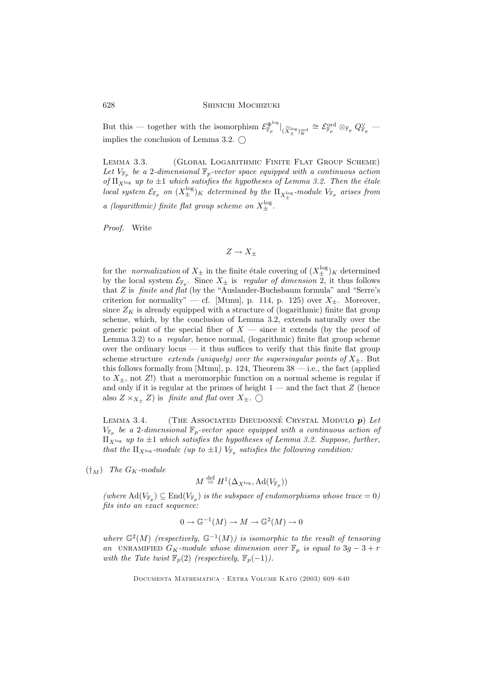But this — together with the isomorphism  $\mathcal{E}_{\mathbb{F}_p}^{\Phi^{\text{log}}}|_{(\widehat{X}_{\pm}^{\text{log}})_{K}^{\text{ord}}} \cong \mathcal{E}_{\mathbb{F}_p}^{\text{ord}} \otimes_{\mathbb{F}_p} Q_{\mathbb{F}_p}^{\vee}$  implies the conclusion of Lemma 3.2.  $\bigcap$ 

LEMMA 3.3. (GLOBAL LOGARITHMIC FINITE FLAT GROUP SCHEME) Let  $V_{\mathbb{F}_p}$  be a 2-dimensional  $\mathbb{F}_p$ -vector space equipped with a continuous action of  $\Pi_{X^{\log}}$  up to  $\pm 1$  which satisfies the hypotheses of Lemma 3.2. Then the étale local system  $\mathcal{E}_{\mathbb{F}_p}$  on  $(X_\pm^{\log})_K$  determined by the  $\Pi_{X_\pm^{\log}}$ -module  $V_{\mathbb{F}_p}$  arises from a (logarithmic) finite flat group scheme on  $X_{\pm}^{\log}$ .

Proof. Write

$$
Z\to X_\pm
$$

for the *normalization* of  $X_{\pm}$  in the finite étale covering of  $(X_{\pm}^{\log})_K$  determined by the local system  $\mathcal{E}_{\mathbb{F}_p}$ . Since  $X_{\pm}$  is regular of dimension 2, it thus follows that  $Z$  is *finite and flat* (by the "Auslander-Buchsbaum formula" and "Serre's criterion for normality" — cf. [Mtmu], p. 114, p. 125) over  $X_{\pm}$ . Moreover, since  $Z_K$  is already equipped with a structure of (logarithmic) finite flat group scheme, which, by the conclusion of Lemma 3.2, extends naturally over the generic point of the special fiber of  $X$  — since it extends (by the proof of Lemma 3.2) to a *regular*, hence normal, (logarithmic) finite flat group scheme over the ordinary locus  $-$  it thus suffices to verify that this finite flat group scheme structure extends (uniquely) over the supersingular points of  $X_{\pm}$ . But this follows formally from [Mtmu], p. 124, Theorem  $38$  — i.e., the fact (applied to  $X_{\pm}$ , not Z!) that a meromorphic function on a normal scheme is regular if and only if it is regular at the primes of height  $1$  — and the fact that  $Z$  (hence also  $Z \times_{X_{+}} Z$  is finite and flat over  $X_{\pm}$ .

LEMMA 3.4. (THE ASSOCIATED DIEUDONNÉ CRYSTAL MODULO  $p$ ) Let  $V_{\mathbb{F}_p}$  be a 2-dimensional  $\mathbb{F}_p$ -vector space equipped with a continuous action of  $\Pi_{X^{\log}}$  up to  $\pm 1$  which satisfies the hypotheses of Lemma 3.2. Suppose, further, that the  $\Pi_{X^{\log}}$ -module (up to  $\pm 1$ )  $V_{\mathbb{F}_p}$  satisfies the following condition:

 $(\dagger_M)$  The G<sub>K</sub>-module

$$
M \stackrel{\text{def}}{=} H^1(\Delta_{X^{\log}}, \text{Ad}(V_{\mathbb{F}_p}))
$$

(where  $\text{Ad}(V_{\mathbb{F}_p}) \subseteq \text{End}(V_{\mathbb{F}_p})$  is the subspace of endomorphisms whose trace  $= 0$ ) fits into an exact sequence:

$$
0 \to \mathbb{G}^{-1}(M) \to M \to \mathbb{G}^2(M) \to 0
$$

where  $\mathbb{G}^2(M)$  (respectively,  $\mathbb{G}^{-1}(M)$ ) is isomorphic to the result of tensoring an UNRAMIFIED G<sub>K</sub>-module whose dimension over  $\mathbb{F}_p$  is equal to 3g – 3 + r with the Tate twist  $\mathbb{F}_p(2)$  (respectively,  $\mathbb{F}_p(-1)$ ).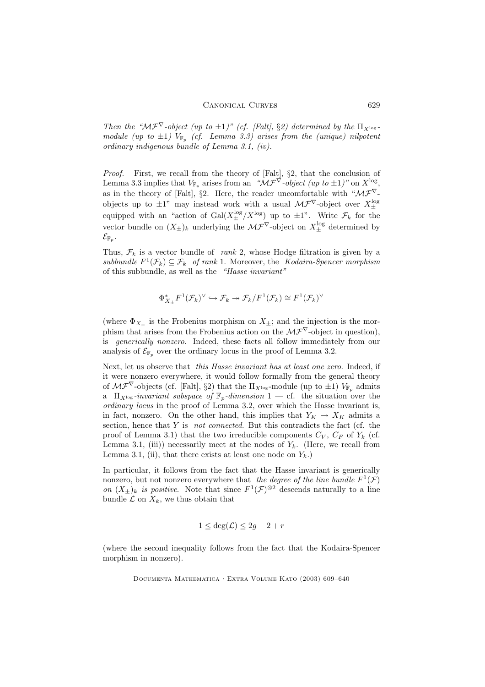Then the " $\mathcal{MF}^{\nabla}$ -object (up to  $\pm 1$ )" (cf. [Falt], §2) determined by the  $\Pi_{X^{log}}$ module (up to  $\pm 1$ )  $V_{\mathbb{F}_p}$  (cf. Lemma 3.3) arises from the (unique) nilpotent ordinary indigenous bundle of Lemma 3.1, (iv).

Proof. First, we recall from the theory of [Falt], §2, that the conclusion of Lemma 3.3 implies that  $V_{\mathbb{F}_p}$  arises from an " $\mathcal{MF}^{\nabla}\text{-}object$  (up to  $\pm 1$ )" on  $X^{\log}$ , as in the theory of [Falt], §2. Here, the reader uncomfortable with " $\mathcal{MF}^{\nabla}$ objects up to  $\pm 1$ " may instead work with a usual  $\mathcal{MF}^{\nabla}$ -object over  $X_{\pm}^{\log}$ equipped with an "action of  $Gal(X_{\pm}^{\log}/X^{\log})$  up to  $\pm 1$ ". Write  $\mathcal{F}_k$  for the vector bundle on  $(X_{\pm})_k$  underlying the  $\mathcal{MF}^{\nabla}$ -object on  $X_{\pm}^{\log}$  determined by  $\mathcal{E}_{\mathbb{F}_p}.$ 

Thus,  $\mathcal{F}_k$  is a vector bundle of *rank* 2, whose Hodge filtration is given by a subbundle  $F^1(\mathcal{F}_k) \subseteq \mathcal{F}_k$  of rank 1. Moreover, the Kodaira-Spencer morphism of this subbundle, as well as the "Hasse invariant"

$$
\Phi_{X_\pm}^*F^1(\mathcal{F}_k)^\vee \hookrightarrow \mathcal{F}_k \twoheadrightarrow \mathcal{F}_k/F^1(\mathcal{F}_k) \cong F^1(\mathcal{F}_k)^\vee
$$

(where  $\Phi_{X_+}$  is the Frobenius morphism on  $X_{\pm}$ ; and the injection is the morphism that arises from the Frobenius action on the  $\mathcal{MF}^{\nabla}$ -object in question), is generically nonzero. Indeed, these facts all follow immediately from our analysis of  $\mathcal{E}_{\mathbb{F}_p}$  over the ordinary locus in the proof of Lemma 3.2.

Next, let us observe that this Hasse invariant has at least one zero. Indeed, if it were nonzero everywhere, it would follow formally from the general theory of  $\mathcal{MF}^{\nabla}$ -objects (cf. [Falt], §2) that the  $\Pi_{X^{\log}}$ -module (up to  $\pm 1$ )  $V_{\mathbb{F}_p}$  admits a  $\Pi_{X^{\log}}$ -invariant subspace of  $\mathbb{F}_p$ -dimension 1 — cf. the situation over the ordinary locus in the proof of Lemma 3.2, over which the Hasse invariant is, in fact, nonzero. On the other hand, this implies that  $Y_K \to X_K$  admits a section, hence that  $Y$  is *not connected*. But this contradicts the fact (cf. the proof of Lemma 3.1) that the two irreducible components  $C_V$ ,  $C_F$  of  $Y_k$  (cf. Lemma 3.1, (iii)) necessarily meet at the nodes of  $Y_k$ . (Here, we recall from Lemma 3.1, (ii), that there exists at least one node on  $Y_k$ .)

In particular, it follows from the fact that the Hasse invariant is generically nonzero, but not nonzero everywhere that *the degree of the line bundle*  $F^1(\mathcal{F})$ on  $(X_{\pm})_k$  is positive. Note that since  $F^1(\mathcal{F})^{\otimes 2}$  descends naturally to a line bundle  $\mathcal L$  on  $X_k$ , we thus obtain that

$$
1 \le \deg(\mathcal{L}) \le 2g - 2 + r
$$

(where the second inequality follows from the fact that the Kodaira-Spencer morphism in nonzero).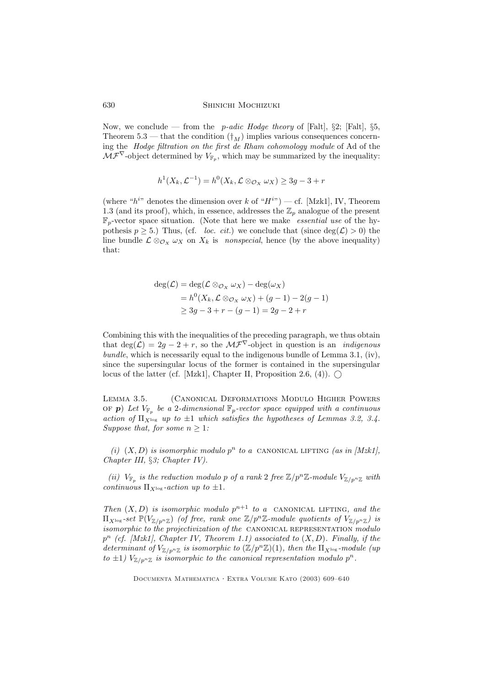Now, we conclude — from the p-adic Hodge theory of [Falt],  $\S2$ ; [Falt],  $\S5$ , Theorem 5.3 — that the condition  $(\dagger_M)$  implies various consequences concerning the Hodge filtration on the first de Rham cohomology module of Ad of the  $\mathcal{MF}^{\nabla}$ -object determined by  $V_{\mathbb{F}_p}$ , which may be summarized by the inequality:

$$
h^{1}(X_{k}, \mathcal{L}^{-1}) = h^{0}(X_{k}, \mathcal{L} \otimes_{\mathcal{O}_{X}} \omega_{X}) \geq 3g - 3 + r
$$

(where " $h^{iv}$  denotes the dimension over k of " $H^{iv}$ ) — cf. [Mzk1], IV, Theorem 1.3 (and its proof), which, in essence, addresses the  $\mathbb{Z}_p$  analogue of the present  $\mathbb{F}_p$ -vector space situation. (Note that here we make *essential use* of the hypothesis  $p \geq 5$ .) Thus, (cf. *loc. cit.*) we conclude that (since  $deg(\mathcal{L}) > 0$ ) the line bundle  $\mathcal{L} \otimes_{\mathcal{O}_X} \omega_X$  on  $X_k$  is *nonspecial*, hence (by the above inequality) that:

$$
deg(\mathcal{L}) = deg(\mathcal{L} \otimes_{\mathcal{O}_X} \omega_X) - deg(\omega_X)
$$
  
=  $h^0(X_k, \mathcal{L} \otimes_{\mathcal{O}_X} \omega_X) + (g - 1) - 2(g - 1)$   
 $\geq 3g - 3 + r - (g - 1) = 2g - 2 + r$ 

Combining this with the inequalities of the preceding paragraph, we thus obtain that  $\deg(\mathcal{L}) = 2q - 2 + r$ , so the  $\mathcal{MF}^{\nabla}$ -object in question is an *indigenous* bundle, which is necessarily equal to the indigenous bundle of Lemma 3.1, (iv), since the supersingular locus of the former is contained in the supersingular locus of the latter (cf. [Mzk1], Chapter II, Proposition 2.6, (4)).  $\bigcap$ 

Lemma 3.5. (Canonical Deformations Modulo Higher Powers OF **p**) Let  $V_{\mathbb{F}_p}$  be a 2-dimensional  $\mathbb{F}_p$ -vector space equipped with a continuous action of  $\Pi_{X^{\log}}$  up to  $\pm 1$  which satisfies the hypotheses of Lemmas 3.2, 3.4. Suppose that, for some  $n \geq 1$ :

(i)  $(X, D)$  is isomorphic modulo  $p^n$  to a CANONICAL LIFTING (as in [Mzk1], Chapter III, §3; Chapter IV).

(ii)  $V_{\mathbb{F}_p}$  is the reduction modulo p of a rank 2 free  $\mathbb{Z}/p^n\mathbb{Z}$ -module  $V_{\mathbb{Z}/p^n\mathbb{Z}}$  with continuous  $\Pi_{X \log}$ -action up to  $\pm 1$ .

Then  $(X, D)$  is isomorphic modulo  $p^{n+1}$  to a CANONICAL LIFTING, and the  $\Pi_{X^{\log}}$ -set  $\mathbb{P}(V_{\mathbb{Z}/p^n\mathbb{Z}})$  (of free, rank one  $\mathbb{Z}/p^n\mathbb{Z}$ -module quotients of  $V_{\mathbb{Z}/p^n\mathbb{Z}}$ ) is isomorphic to the projectivization of the CANONICAL REPRESENTATION modulo  $p^{n}$  (cf. [Mzk1], Chapter IV, Theorem 1.1) associated to  $(X, D)$ . Finally, if the determinant of  $V_{\mathbb{Z}/p^n\mathbb{Z}}$  is isomorphic to  $(\mathbb{Z}/p^n\mathbb{Z})(1)$ , then the  $\Pi_{X^{\log}}$ -module (up to  $\pm 1$ )  $V_{\mathbb{Z}/p^n\mathbb{Z}}$  is isomorphic to the canonical representation modulo  $p^n$ .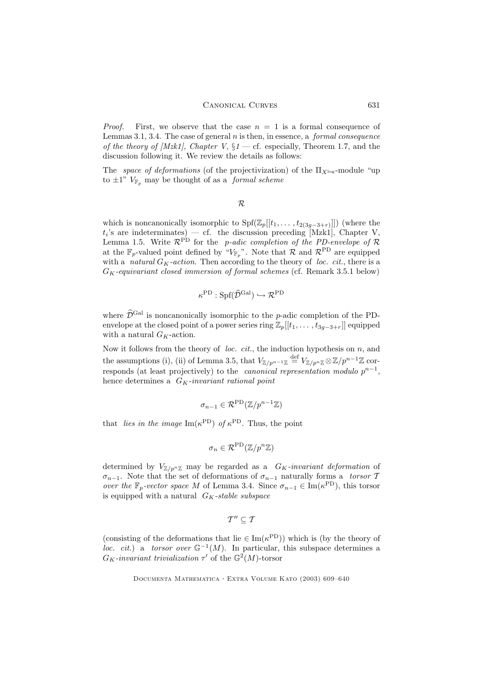*Proof.* First, we observe that the case  $n = 1$  is a formal consequence of Lemmas 3.1, 3.4. The case of general  $n$  is then, in essence, a *formal consequence* of the theory of  $[Mzkt]$ , Chapter V,  $\S1$  – cf. especially, Theorem 1.7, and the discussion following it. We review the details as follows:

The *space of deformations* (of the projectivization) of the  $\Pi_{X^{\log}}$ -module "up to  $\pm 1$ "  $V_{\mathbb{F}_n}$  may be thought of as a *formal scheme* 

R

which is noncanonically isomorphic to  $\text{Spf}(\mathbb{Z}_p[[t_1, \ldots, t_{2(3g-3+r)}]])$  (where the  $t_i$ 's are indeterminates) — cf. the discussion preceding [Mzk1], Chapter V, Lemma 1.5. Write  $\mathcal{R}^{\hat{PD}}$  for the p-adic completion of the PD-envelope of  $\mathcal R$ at the  $\mathbb{F}_p$ -valued point defined by " $V_{\mathbb{F}_p}$ ". Note that R and  $\mathcal{R}^{\text{PD}}$  are equipped with a *natural*  $G_K$ -action. Then according to the theory of loc. cit., there is a  $G_K$ -equivariant closed immersion of formal schemes (cf. Remark 3.5.1 below)

$$
\kappa^{\operatorname{PD}}:\operatorname{Spf}(\widehat{\mathcal{D}}^{\operatorname{Gal}})\hookrightarrow \mathcal{R}^{\operatorname{PD}}
$$

where  $\widehat{\mathcal{D}}^{Gal}$  is noncanonically isomorphic to the p-adic completion of the PDenvelope at the closed point of a power series ring  $\mathbb{Z}_p[[t_1, \ldots, t_{3g-3+r}]]$  equipped with a natural  $G_K$ -action.

Now it follows from the theory of *loc. cit.*, the induction hypothesis on  $n$ , and the assumptions (i), (ii) of Lemma 3.5, that  $V_{\mathbb{Z}/p^{n-1}\mathbb{Z}} \stackrel{\text{def}}{=} V_{\mathbb{Z}/p^n\mathbb{Z}} \otimes \mathbb{Z}/p^{n-1}\mathbb{Z}$  corresponds (at least projectively) to the *canonical representation modulo*  $p^{n-1}$ , hence determines a  $G_K$ -invariant rational point

$$
\sigma_{n-1} \in \mathcal{R}^{\operatorname{PD}}(\mathbb{Z}/p^{n-1}\mathbb{Z})
$$

that *lies in the image*  $\text{Im}(\kappa^{\text{PD}})$  of  $\kappa^{\text{PD}}$ . Thus, the point

$$
\sigma_n \in \mathcal{R}^{\operatorname{PD}}(\mathbb{Z}/p^n\mathbb{Z})
$$

determined by  $V_{\mathbb{Z}/p^n\mathbb{Z}}$  may be regarded as a  $G_K$ -invariant deformation of  $\sigma_{n-1}$ . Note that the set of deformations of  $\sigma_{n-1}$  naturally forms a torsor T over the  $\mathbb{F}_p$ -vector space M of Lemma 3.4. Since  $\sigma_{n-1} \in \text{Im}(\kappa^{\text{PD}})$ , this torsor is equipped with a natural  $G_K$ -stable subspace

$$
\mathcal{T}''\subseteq \mathcal{T}
$$

(consisting of the deformations that lie  $\in \text{Im}(\kappa^{\text{PD}})$ ) which is (by the theory of loc. cit.) a torsor over  $\mathbb{G}^{-1}(M)$ . In particular, this subspace determines a  $G_K$ -invariant trivialization  $\tau'$  of the  $\mathbb{G}^2(M)$ -torsor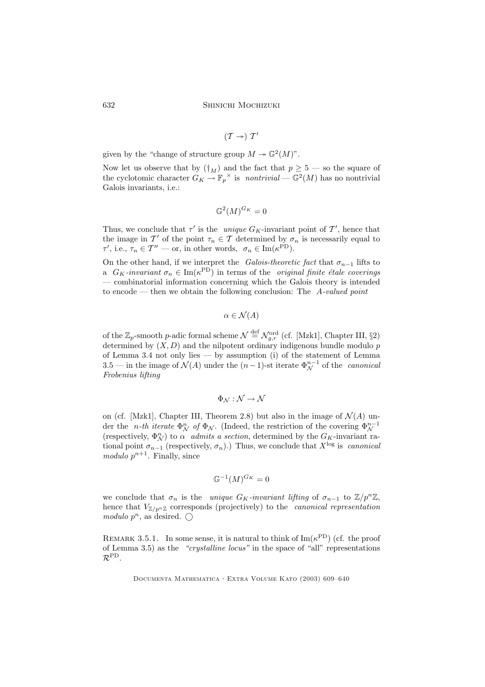$$
(\mathcal{T} \twoheadrightarrow) \mathcal{T}'
$$

given by the "change of structure group  $M \to \mathbb{G}^2(M)$ ".

Now let us observe that by  $(\dagger_M)$  and the fact that  $p \geq 5$  — so the square of the cyclotomic character  $G_K \to \mathbb{F}_p^{\times}$  is nontrivial  $-\mathbb{G}^2(M)$  has no nontrivial Galois invariants, i.e.:

$$
\mathbb{G}^2(M)^{G_K}=0
$$

Thus, we conclude that  $\tau'$  is the *unique*  $G_K$ -invariant point of  $\mathcal{T}'$ , hence that the image in  $\mathcal{T}'$  of the point  $\tau_n \in \mathcal{T}$  determined by  $\sigma_n$  is necessarily equal to  $\tau'$ , i.e.,  $\tau_n \in \mathcal{T}''$  — or, in other words,  $\sigma_n \in \text{Im}(\kappa^{\text{PD}})$ .

On the other hand, if we interpret the Galois-theoretic fact that  $\sigma_{n-1}$  lifts to a  $G_K$ -invariant  $\sigma_n \in \text{Im}(\kappa^{\text{PD}})$  in terms of the *original finite étale coverings* — combinatorial information concerning which the Galois theory is intended to encode — then we obtain the following conclusion: The  $A$ -valued point

$$
\alpha \in \mathcal{N}(A)
$$

of the  $\mathbb{Z}_p$ -smooth p-adic formal scheme  $\mathcal{N} \stackrel{\text{def}}{=} \mathcal{N}_{g,r}^{\text{ord}}$  (cf. [Mzk1], Chapter III, §2) determined by  $(X, D)$  and the nilpotent ordinary indigenous bundle modulo p of Lemma 3.4 not only lies — by assumption (i) of the statement of Lemma 3.5 — in the image of  $\mathcal{N}(A)$  under the  $(n-1)$ -st iterate  $\Phi_{\mathcal{N}}^{n-1}$  of the *canonical* Frobenius lifting

$$
\Phi_{\mathcal{N}}:\mathcal{N}\rightarrow\mathcal{N}
$$

on (cf. [Mzk1], Chapter III, Theorem 2.8) but also in the image of  $\mathcal{N}(A)$  under the *n-th iterate*  $\Phi_N^n$  of  $\Phi_N$ . (Indeed, the restriction of the covering  $\Phi_N^{n-1}$ (respectively,  $\Phi_N^n$ ) to  $\alpha$  admits a section, determined by the  $G_K$ -invariant rational point  $\sigma_{n-1}$  (respectively,  $\sigma_n$ ).) Thus, we conclude that  $X^{\text{log}}$  is *canonical* modulo  $p^{n+1}$ . Finally, since

$$
\mathbb{G}^{-1}(M)^{G_K}=0
$$

we conclude that  $\sigma_n$  is the unique  $G_K$ -invariant lifting of  $\sigma_{n-1}$  to  $\mathbb{Z}/p^n\mathbb{Z}$ , hence that  $V_{\mathbb{Z}/p^n\mathbb{Z}}$  corresponds (projectively) to the *canonical representation* modulo  $p^n$ , as desired.  $\bigcirc$ 

REMARK 3.5.1. In some sense, it is natural to think of  $\text{Im}(\kappa^{\text{PD}})$  (cf. the proof of Lemma 3.5) as the "crystalline locus" in the space of "all" representations  $\mathcal{R}^{\text{PD}}$ .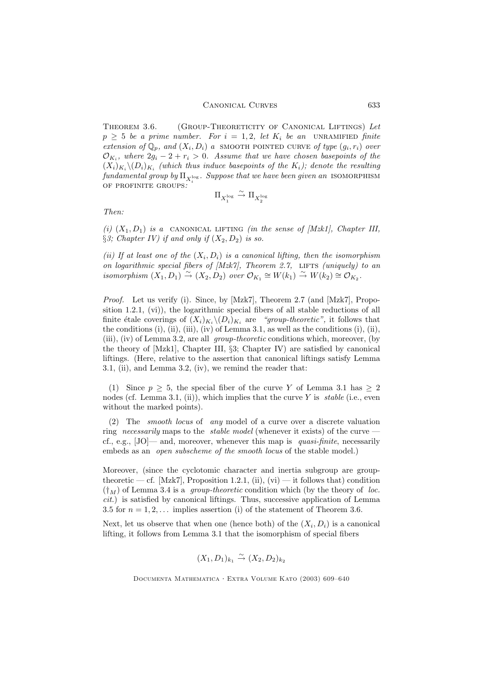THEOREM 3.6. (GROUP-THEORETICITY OF CANONICAL LIFTINGS) Let  $p \geq 5$  be a prime number. For  $i = 1, 2$ , let  $K_i$  be an UNRAMIFIED finite extension of  $\mathbb{Q}_p$ , and  $(X_i, D_i)$  a SMOOTH POINTED CURVE of type  $(g_i, r_i)$  over  $\mathcal{O}_{K_i}$ , where  $2g_i - 2 + r_i > 0$ . Assume that we have chosen basepoints of the  $(X_i)_{K_i} \backslash (D_i)_{K_i}$  (which thus induce basepoints of the  $K_i$ ); denote the resulting fundamental group by  $\Pi_{X_i^{\log}}.$  Suppose that we have been given an <code>ISOMORPHISM</code> i OF PROFINITE GROUPS:

$$
\Pi_{X_1^{\log}} \stackrel{\sim}{\to} \Pi_{X_2^{\log}}
$$

Then:

(i)  $(X_1, D_1)$  is a CANONICAL LIFTING (in the sense of [Mzk1], Chapter III, §3; Chapter IV) if and only if  $(X_2, D_2)$  is so.

(ii) If at least one of the  $(X_i, D_i)$  is a canonical lifting, then the isomorphism on logarithmic special fibers of  $[Mz\&N$ , Theorem 2.7, LIFTS (uniquely) to an isomorphism  $(X_1, D_1) \stackrel{\sim}{\rightarrow} (X_2, D_2)$  over  $\mathcal{O}_{K_1} \cong W(k_1) \stackrel{\sim}{\rightarrow} W(k_2) \cong \mathcal{O}_{K_2}$ .

*Proof.* Let us verify (i). Since, by  $[Mz\,7]$ , Theorem 2.7 (and  $[Mz\,K7]$ , Proposition 1.2.1, (vi)), the logarithmic special fibers of all stable reductions of all finite étale coverings of  $(X_i)_{K_i} \backslash (D_i)_{K_i}$  are "group-theoretic", it follows that the conditions  $(i)$ ,  $(ii)$ ,  $(iii)$ ,  $(iv)$  of Lemma 3.1, as well as the conditions  $(i)$ ,  $(ii)$ , (iii), (iv) of Lemma 3.2, are all group-theoretic conditions which, moreover, (by the theory of [Mzk1], Chapter III, §3; Chapter IV) are satisfied by canonical liftings. (Here, relative to the assertion that canonical liftings satisfy Lemma 3.1, (ii), and Lemma 3.2, (iv), we remind the reader that:

(1) Since  $p \geq 5$ , the special fiber of the curve Y of Lemma 3.1 has  $\geq 2$ nodes (cf. Lemma 3.1, (ii)), which implies that the curve Y is stable (i.e., even without the marked points).

(2) The smooth locus of any model of a curve over a discrete valuation ring necessarily maps to the stable model (whenever it exists) of the curve cf., e.g.,  $[JO]$ — and, moreover, whenever this map is *quasi-finite*, necessarily embeds as an *open subscheme of the smooth locus* of the stable model.)

Moreover, (since the cyclotomic character and inertia subgroup are grouptheoretic — cf. [Mzk7], Proposition 1.2.1, (ii),  $(vi)$  — it follows that) condition  $(\dagger_M)$  of Lemma 3.4 is a group-theoretic condition which (by the theory of loc. cit.) is satisfied by canonical liftings. Thus, successive application of Lemma 3.5 for  $n = 1, 2, \ldots$  implies assertion (i) of the statement of Theorem 3.6.

Next, let us observe that when one (hence both) of the  $(X_i, D_i)$  is a canonical lifting, it follows from Lemma 3.1 that the isomorphism of special fibers

$$
(X_1, D_1)_{k_1} \xrightarrow{\sim} (X_2, D_2)_{k_2}
$$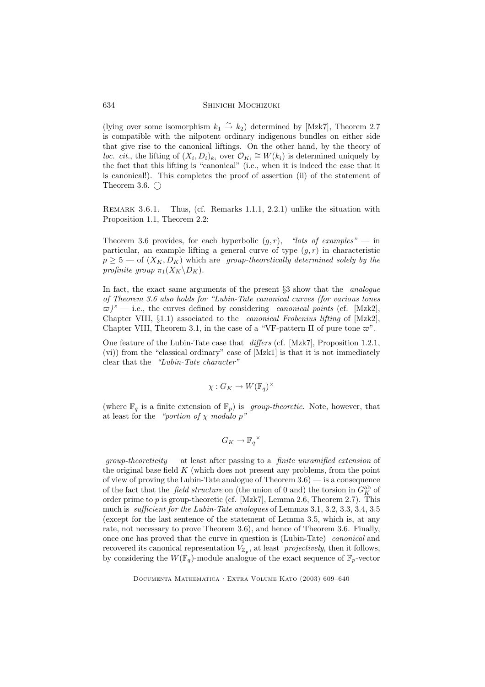(lying over some isomorphism  $k_1 \stackrel{\sim}{\rightarrow} k_2$ ) determined by [Mzk7], Theorem 2.7 is compatible with the nilpotent ordinary indigenous bundles on either side that give rise to the canonical liftings. On the other hand, by the theory of loc. cit., the lifting of  $(X_i, D_i)_{k_i}$  over  $\mathcal{O}_{K_i} \cong W(k_i)$  is determined uniquely by the fact that this lifting is "canonical" (i.e., when it is indeed the case that it is canonical!). This completes the proof of assertion (ii) of the statement of Theorem 3.6.  $\bigcirc$ 

Remark 3.6.1. Thus, (cf. Remarks 1.1.1, 2.2.1) unlike the situation with Proposition 1.1, Theorem 2.2:

Theorem 3.6 provides, for each hyperbolic  $(q, r)$ , "lots of examples" — in particular, an example lifting a general curve of type  $(q, r)$  in characteristic  $p \geq 5$  — of  $(X_K, D_K)$  which are group-theoretically determined solely by the profinite group  $\pi_1(X_K \backslash D_K)$ .

In fact, the exact same arguments of the present §3 show that the analogue of Theorem 3.6 also holds for "Lubin-Tate canonical curves (for various tones  $\varpi$ )" — i.e., the curves defined by considering canonical points (cf. [Mzk2], Chapter VIII,  $\S1.1$ ) associated to the *canonical Frobenius lifting* of  $[Mzk2]$ , Chapter VIII, Theorem 3.1, in the case of a "VF-pattern  $\Pi$  of pure tone  $\varpi$ ".

One feature of the Lubin-Tate case that differs (cf. [Mzk7], Proposition 1.2.1, (vi)) from the "classical ordinary" case of [Mzk1] is that it is not immediately clear that the "Lubin-Tate character"

$$
\chi: G_K \to W(\mathbb{F}_q)^\times
$$

(where  $\mathbb{F}_q$  is a finite extension of  $\mathbb{F}_p$ ) is group-theoretic. Note, however, that at least for the "portion of  $\chi$  modulo  $p$ "

$$
G_K \to \mathbb{F}_q^\times
$$

*group-theoreticity* — at least after passing to a *finite unramified extension* of the original base field  $K$  (which does not present any problems, from the point of view of proving the Lubin-Tate analogue of Theorem 3.6) — is a consequence of the fact that the *field structure* on (the union of 0 and) the torsion in  $G_K^{\text{ab}}$  of order prime to  $p$  is group-theoretic (cf. [Mzk7], Lemma 2.6, Theorem 2.7). This much is sufficient for the Lubin-Tate analogues of Lemmas 3.1, 3.2, 3.3, 3.4, 3.5 (except for the last sentence of the statement of Lemma 3.5, which is, at any rate, not necessary to prove Theorem 3.6), and hence of Theorem 3.6. Finally, once one has proved that the curve in question is (Lubin-Tate) canonical and recovered its canonical representation  $V_{\mathbb{Z}_p}$ , at least *projectively*, then it follows, by considering the  $W(\mathbb{F}_q)$ -module analogue of the exact sequence of  $\mathbb{F}_p$ -vector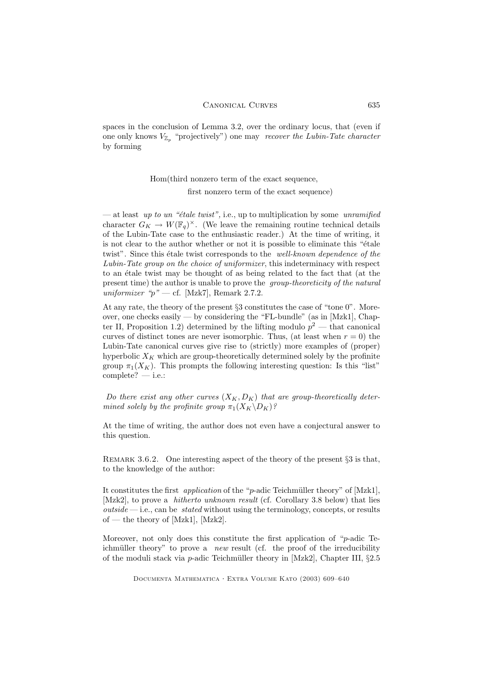spaces in the conclusion of Lemma 3.2, over the ordinary locus, that (even if one only knows  $V_{\mathbb{Z}_p}$  "projectively") one may recover the Lubin-Tate character by forming

Hom(third nonzero term of the exact sequence,

first nonzero term of the exact sequence)

— at least up to un "étale twist", i.e., up to multiplication by some unramified character  $G_K \to W(\mathbb{F}_q)^{\times}$ . (We leave the remaining routine technical details of the Lubin-Tate case to the enthusiastic reader.) At the time of writing, it is not clear to the author whether or not it is possible to eliminate this " $\acute{e}$ tale twist". Since this étale twist corresponds to the well-known dependence of the Lubin-Tate group on the choice of uniformizer, this indeterminacy with respect to an étale twist may be thought of as being related to the fact that (at the present time) the author is unable to prove the group-theoreticity of the natural uniformizer " $p$ " — cf. [Mzk7], Remark 2.7.2.

At any rate, the theory of the present §3 constitutes the case of "tone 0". Moreover, one checks easily — by considering the "FL-bundle" (as in [Mzk1], Chapter II, Proposition 1.2) determined by the lifting modulo  $p^2$  — that canonical curves of distinct tones are never isomorphic. Thus, (at least when  $r = 0$ ) the Lubin-Tate canonical curves give rise to (strictly) more examples of (proper) hyperbolic  $X_K$  which are group-theoretically determined solely by the profinite group  $\pi_1(X_K)$ . This prompts the following interesting question: Is this "list"  $complete? - i.e.:$ 

Do there exist any other curves  $(X_K, D_K)$  that are group-theoretically determined solely by the profinite group  $\pi_1(X_K\backslash D_K)$ ?

At the time of writing, the author does not even have a conjectural answer to this question.

REMARK 3.6.2. One interesting aspect of the theory of the present  $\S 3$  is that, to the knowledge of the author:

It constitutes the first *application* of the "*p*-adic Teichmüller theory" of  $[Mzk1]$ , [Mzk2], to prove a hitherto unknown result (cf. Corollary 3.8 below) that lies  $outside$ — i.e., can be *stated* without using the terminology, concepts, or results of — the theory of [Mzk1], [Mzk2].

Moreover, not only does this constitute the first application of "p-adic Teichmüller theory" to prove a *new* result (cf. the proof of the irreducibility of the moduli stack via p-adic Teichmüller theory in  $[Mzk2]$ , Chapter III, §2.5

Documenta Mathematica · Extra Volume Kato (2003) 609–640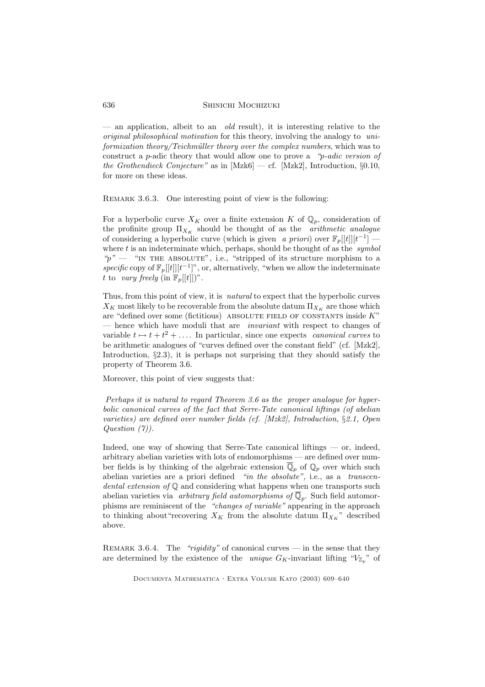— an application, albeit to an old result), it is interesting relative to the original philosophical motivation for this theory, involving the analogy to uniformization theory/Teichmüller theory over the complex numbers, which was to construct a p-adic theory that would allow one to prove a "p-adic version of the Grothendieck Conjecture" as in  $[Mzk6]$  — cf.  $[Mzk2]$ , Introduction,  $\S0.10$ , for more on these ideas.

REMARK 3.6.3. One interesting point of view is the following:

For a hyperbolic curve  $X_K$  over a finite extension K of  $\mathbb{Q}_p$ , consideration of the profinite group  $\Pi_{X_K}$  should be thought of as the *arithmetic analogue* of considering a hyperbolic curve (which is given a priori) over  $\mathbb{F}_p[[t]][t^{-1}]$  where  $t$  is an indeterminate which, perhaps, should be thought of as the *symbol* " $p"$  — "in the ABSOLUTE", i.e., "stripped of its structure morphism to a specific copy of  $\mathbb{F}_p[[t]][t^{-1}]$ ", or, alternatively, "when we allow the indeterminate t to vary freely (in  $\mathbb{F}_p[[t]])$ ".

Thus, from this point of view, it is *natural* to expect that the hyperbolic curves  $X_K$  most likely to be recoverable from the absolute datum  $\Pi_{X_K}$  are those which are "defined over some (fictitious) ABSOLUTE FIELD OF CONSTANTS inside  $K$ " — hence which have moduli that are *invariant* with respect to changes of variable  $t \mapsto t + t^2 + \ldots$  In particular, since one expects canonical curves to be arithmetic analogues of "curves defined over the constant field" (cf. [Mzk2], Introduction, §2.3), it is perhaps not surprising that they should satisfy the property of Theorem 3.6.

Moreover, this point of view suggests that:

Perhaps it is natural to regard Theorem 3.6 as the proper analogue for hyperbolic canonical curves of the fact that Serre-Tate canonical liftings (of abelian varieties) are defined over number fields (cf. [Mzk2], Introduction, §2.1, Open Question (7)).

Indeed, one way of showing that Serre-Tate canonical liftings — or, indeed, arbitrary abelian varieties with lots of endomorphisms — are defined over number fields is by thinking of the algebraic extension  $\overline{\mathbb{Q}}_p$  of  $\mathbb{Q}_p$  over which such abelian varieties are a priori defined "in the absolute", i.e., as a transcendental extension of  $\mathbb Q$  and considering what happens when one transports such abelian varieties via *arbitrary field automorphisms of*  $\mathbb{Q}_p$ . Such field automorphisms are reminiscent of the "changes of variable" appearing in the approach to thinking about "recovering  $X_K$  from the absolute datum  $\Pi_{X_K}$ " described above.

REMARK 3.6.4. The "rigidity" of canonical curves — in the sense that they are determined by the existence of the *unique*  $G_K$ -invariant lifting " $V_{\mathbb{Z}_p}$ " of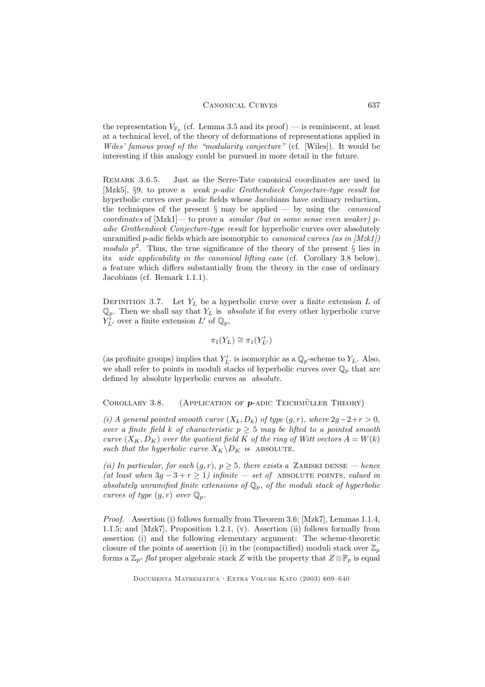## CANONICAL CURVES 637

the representation  $V_{\mathbb{F}_p}$  (cf. Lemma 3.5 and its proof) — is reminiscent, at least at a technical level, of the theory of deformations of representations applied in Wiles' famous proof of the "modularity conjecture" (cf. [Wiles]). It would be interesting if this analogy could be pursued in more detail in the future.

Remark 3.6.5. Just as the Serre-Tate canonical coordinates are used in [Mzk5], §9, to prove a weak p-adic Grothendieck Conjecture-type result for hyperbolic curves over p-adic fields whose Jacobians have ordinary reduction, the techniques of the present  $\S$  may be applied — by using the *canonical* coordinates of  $[Mzk1]$ — to prove a *similar (but in some sense even weaker)* padic Grothendieck Conjecture-type result for hyperbolic curves over absolutely unramified p-adic fields which are isomorphic to *canonical curves* (as in  $[Mzk1]$ ) modulo  $p^2$ . Thus, the true significance of the theory of the present  $\S$  lies in its wide applicability in the canonical lifting case (cf. Corollary 3.8 below), a feature which differs substantially from the theory in the case of ordinary Jacobians (cf. Remark 1.1.1).

DEFINITION 3.7. Let  $Y_L$  be a hyperbolic curve over a finite extension  $L$  of  $\mathbb{Q}_p$ . Then we shall say that  $Y_L$  is *absolute* if for every other hyperbolic curve  $Y_{L'}^{'}$  over a finite extension  $L'$  of  $\mathbb{Q}_p$ ,

$$
\pi_1(Y_L) \cong \pi_1(Y'_{L'})
$$

(as profinite groups) implies that  $Y'_{L'}$  is isomorphic as a  $\mathbb{Q}_p$ -scheme to  $Y_L$ . Also, we shall refer to points in moduli stacks of hyperbolic curves over  $\mathbb{Q}_p$  that are defined by absolute hyperbolic curves as absolute.

COROLLARY 3.8. (APPLICATION OF  $p$ -ADIC TEICHMÜLLER THEORY)

(i) A general pointed smooth curve  $(X_k, D_k)$  of type  $(g, r)$ , where  $2g-2+r > 0$ , over a finite field k of characteristic  $p \geq 5$  may be lifted to a pointed smooth curve  $(X_K, D_K)$  over the quotient field K of the ring of Witt vectors  $A = W(k)$ such that the hyperbolic curve  $X_K\backslash D_K$  is ABSOLUTE.

(ii) In particular, for each  $(g, r)$ ,  $p \geq 5$ , there exists a ZARISKI DENSE — hence (at least when  $3g - 3 + r \ge 1$ ) infinite — set of ABSOLUTE POINTS, valued in absolutely unramified finite extensions of  $\mathbb{Q}_p$ , of the moduli stack of hyperbolic curves of type  $(g, r)$  over  $\mathbb{Q}_p$ .

Proof. Assertion (i) follows formally from Theorem 3.6; [Mzk7], Lemmas 1.1.4, 1.1.5; and [Mzk7], Proposition 1.2.1, (v). Assertion (ii) follows formally from assertion (i) and the following elementary argument: The scheme-theoretic closure of the points of assertion (i) in the (compactified) moduli stack over  $\mathbb{Z}_p$ forms a  $\mathbb{Z}_p$ - flat proper algebraic stack Z with the property that  $Z \otimes \mathbb{F}_p$  is equal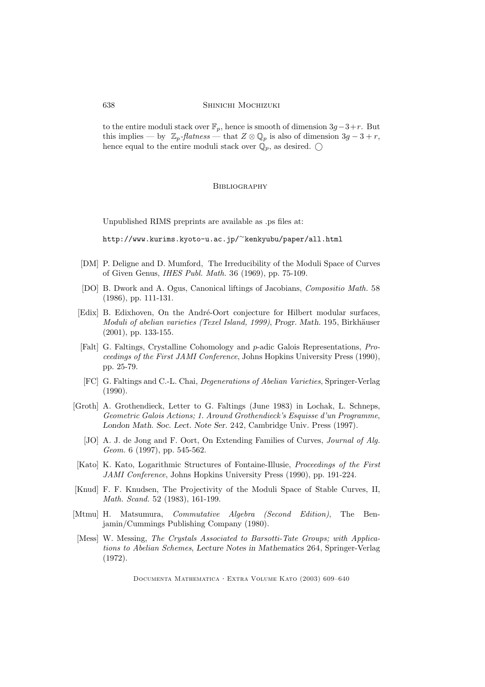to the entire moduli stack over  $\mathbb{F}_p$ , hence is smooth of dimension 3g – 3+r. But this implies — by  $\mathbb{Z}_p$ -flatness — that  $Z \otimes \mathbb{Q}_p$  is also of dimension  $3g - 3 + r$ , hence equal to the entire moduli stack over  $\mathbb{Q}_p$ , as desired.  $\bigcirc$ 

# **BIBLIOGRAPHY**

Unpublished RIMS preprints are available as .ps files at:

http://www.kurims.kyoto-u.ac.jp/<sup>∼</sup>kenkyubu/paper/all.html

- [DM] P. Deligne and D. Mumford, The Irreducibility of the Moduli Space of Curves of Given Genus, IHES Publ. Math. 36 (1969), pp. 75-109.
- [DO] B. Dwork and A. Ogus, Canonical liftings of Jacobians, Compositio Math. 58 (1986), pp. 111-131.
- [Edix] B. Edixhoven, On the André-Oort conjecture for Hilbert modular surfaces, Moduli of abelian varieties (Texel Island, 1999), Progr. Math. 195, Birkhäuser (2001), pp. 133-155.
- [Falt] G. Faltings, Crystalline Cohomology and p-adic Galois Representations, Proceedings of the First JAMI Conference, Johns Hopkins University Press (1990), pp. 25-79.
- [FC] G. Faltings and C.-L. Chai, Degenerations of Abelian Varieties, Springer-Verlag (1990).
- [Groth] A. Grothendieck, Letter to G. Faltings (June 1983) in Lochak, L. Schneps, Geometric Galois Actions; 1. Around Grothendieck's Esquisse d'un Programme, London Math. Soc. Lect. Note Ser. 242, Cambridge Univ. Press (1997).
	- [JO] A. J. de Jong and F. Oort, On Extending Families of Curves, Journal of Alg. Geom. 6 (1997), pp. 545-562.
- [Kato] K. Kato, Logarithmic Structures of Fontaine-Illusie, Proceedings of the First JAMI Conference, Johns Hopkins University Press (1990), pp. 191-224.
- [Knud] F. F. Knudsen, The Projectivity of the Moduli Space of Stable Curves, II, Math. Scand. 52 (1983), 161-199.
- [Mtmu] H. Matsumura, Commutative Algebra (Second Edition), The Benjamin/Cummings Publishing Company (1980).
- [Mess] W. Messing, The Crystals Associated to Barsotti-Tate Groups; with Applications to Abelian Schemes, Lecture Notes in Mathematics 264, Springer-Verlag (1972).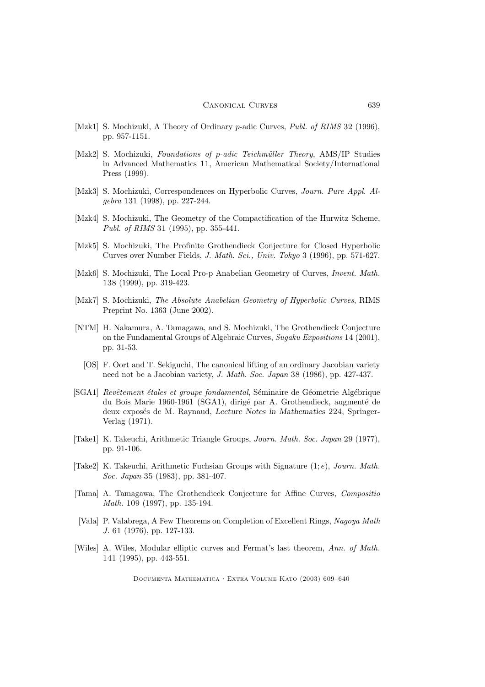### Canonical Curves 639

- [Mzk1] S. Mochizuki, A Theory of Ordinary p-adic Curves, Publ. of RIMS 32 (1996), pp. 957-1151.
- [Mzk2] S. Mochizuki, Foundations of p-adic Teichmüller Theory, AMS/IP Studies in Advanced Mathematics 11, American Mathematical Society/International Press (1999).
- [Mzk3] S. Mochizuki, Correspondences on Hyperbolic Curves, Journ. Pure Appl. Algebra 131 (1998), pp. 227-244.
- [Mzk4] S. Mochizuki, The Geometry of the Compactification of the Hurwitz Scheme, Publ. of RIMS 31 (1995), pp. 355-441.
- [Mzk5] S. Mochizuki, The Profinite Grothendieck Conjecture for Closed Hyperbolic Curves over Number Fields, J. Math. Sci., Univ. Tokyo 3 (1996), pp. 571-627.
- [Mzk6] S. Mochizuki, The Local Pro-p Anabelian Geometry of Curves, Invent. Math. 138 (1999), pp. 319-423.
- [Mzk7] S. Mochizuki, The Absolute Anabelian Geometry of Hyperbolic Curves, RIMS Preprint No. 1363 (June 2002).
- [NTM] H. Nakamura, A. Tamagawa, and S. Mochizuki, The Grothendieck Conjecture on the Fundamental Groups of Algebraic Curves, Sugaku Expositions 14 (2001), pp. 31-53.
	- [OS] F. Oort and T. Sekiguchi, The canonical lifting of an ordinary Jacobian variety need not be a Jacobian variety, J. Math. Soc. Japan 38 (1986), pp. 427-437.
- [SGA1] Revêtement étales et groupe fondamental, Séminaire de Géometrie Algébrique du Bois Marie 1960-1961 (SGA1), dirigé par A. Grothendieck, augmenté de deux exposés de M. Raynaud, Lecture Notes in Mathematics 224, Springer-Verlag (1971).
- [Take1] K. Takeuchi, Arithmetic Triangle Groups, Journ. Math. Soc. Japan 29 (1977), pp. 91-106.
- [Take2] K. Takeuchi, Arithmetic Fuchsian Groups with Signature  $(1; e)$ , Journ. Math. Soc. Japan 35 (1983), pp. 381-407.
- [Tama] A. Tamagawa, The Grothendieck Conjecture for Affine Curves, Compositio Math. 109 (1997), pp. 135-194.
- [Vala] P. Valabrega, A Few Theorems on Completion of Excellent Rings, Nagoya Math J. 61 (1976), pp. 127-133.
- [Wiles] A. Wiles, Modular elliptic curves and Fermat's last theorem, Ann. of Math. 141 (1995), pp. 443-551.